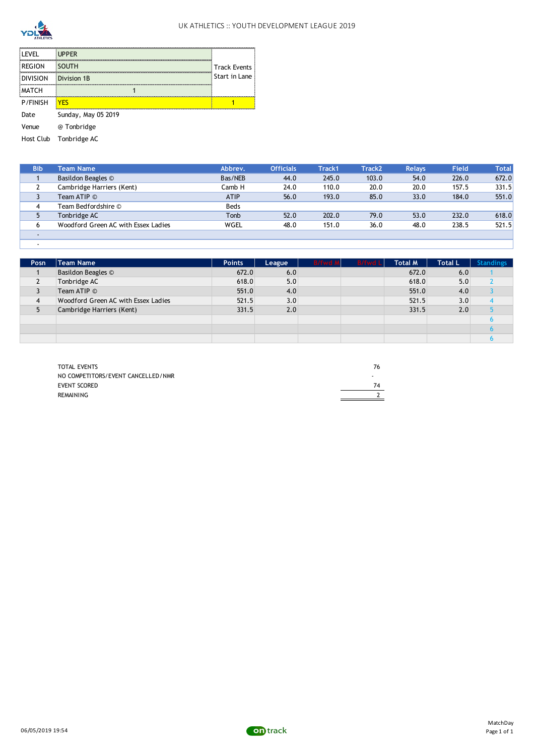

| LEVEL             | <b>UPPER</b>        |               |
|-------------------|---------------------|---------------|
| <b>REGION</b>     | <b>SOUTH</b>        | Track Events  |
| <b>DIVISION</b>   | Division 1B         | Start in Lane |
| <b>MATCH</b>      |                     |               |
| <b>P/FINISH</b>   | YFS                 |               |
| Date              | Sunday, May 05 2019 |               |
| Venue             | @ Tonbridge         |               |
| $\cdots$ $\cdots$ | _                   |               |

Host Club Tonbridge AC

-

| <b>Bib</b>               | <b>Team Name</b>                    | Abbrev.     | <b>Officials</b> | <b>Track1</b> | <b>Track2</b> | <b>Relays</b> | Field | <b>Total</b> |
|--------------------------|-------------------------------------|-------------|------------------|---------------|---------------|---------------|-------|--------------|
|                          | Basildon Beagles ©                  | Bas/NEB     | 44.0             | 245.0         | 103.0         | 54.0          | 226.0 | 672.0        |
|                          | Cambridge Harriers (Kent)           | Camb H      | 24.0             | 110.0         | 20.0          | 20.0          | 157.5 | 331.5        |
|                          | Team ATIP ©                         | <b>ATIP</b> | 56.0             | 193.0         | 85.0          | 33.0          | 184.0 | 551.0        |
| 4                        | Team Bedfordshire ©                 | <b>Beds</b> |                  |               |               |               |       |              |
| 5                        | Tonbridge AC                        | Tonb        | 52.0             | 202.0         | 79.0          | 53.0          | 232.0 | 618.0        |
| ь                        | Woodford Green AC with Essex Ladies | WGEL        | 48.0             | 151.0         | 36.0          | 48.0          | 238.5 | 521.5        |
| $\overline{\phantom{a}}$ |                                     |             |                  |               |               |               |       |              |

| Posn           | <b>Team Name</b>                    | <b>Points</b> | League | <b>B/fwd N</b> | B/fwd Lll | Total M | Total $\mathsf L'$ | <b>Standings</b> |
|----------------|-------------------------------------|---------------|--------|----------------|-----------|---------|--------------------|------------------|
|                | Basildon Beagles ©                  | 672.0         | 6.0    |                |           | 672.0   | 6.0                |                  |
|                | Tonbridge AC                        | 618.0         | 5.0    |                |           | 618.0   | 5.0                |                  |
|                | Team ATIP ©                         | 551.0         | 4.0    |                |           | 551.0   | 4.0                |                  |
| $\overline{4}$ | Woodford Green AC with Essex Ladies | 521.5         | 3.0    |                |           | 521.5   | 3.0                |                  |
|                | Cambridge Harriers (Kent)           | 331.5         | 2.0    |                |           | 331.5   | 2.0                |                  |
|                |                                     |               |        |                |           |         |                    |                  |
|                |                                     |               |        |                |           |         |                    |                  |
|                |                                     |               |        |                |           |         |                    |                  |

| TOTAL EVENTS                       | 76 |
|------------------------------------|----|
| NO COMPETITORS/EVENT CANCELLED/NMR | -  |
| EVENT SCORED                       | 74 |
| <b>REMAINING</b>                   |    |

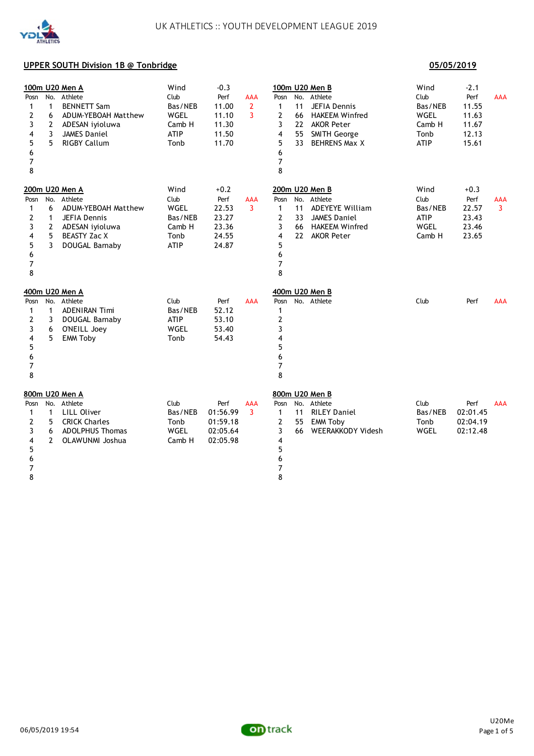

LETICS

|                                                                      |                                               | 100m U20 Men A                                                                                                                         | Wind                                                             | $-0.3$                                                      |                                 | Wind<br>$-2.1$<br>100m U20 Men B                                                                                                                                                                                                                                                                                                             |                               |
|----------------------------------------------------------------------|-----------------------------------------------|----------------------------------------------------------------------------------------------------------------------------------------|------------------------------------------------------------------|-------------------------------------------------------------|---------------------------------|----------------------------------------------------------------------------------------------------------------------------------------------------------------------------------------------------------------------------------------------------------------------------------------------------------------------------------------------|-------------------------------|
| Posn<br>$\mathbf{1}$<br>2<br>3<br>4<br>5<br>6<br>$\overline{7}$<br>8 | $\mathbf{1}$<br>6<br>$\overline{2}$<br>3<br>5 | No. Athlete<br><b>BENNETT Sam</b><br>ADUM-YEBOAH Matthew<br>ADESAN iyioluwa<br><b>JAMES Daniel</b><br>RIGBY Callum                     | Club<br>Bas/NEB<br>WGEL<br>Camb H<br>ATIP<br>Tonb                | Perf<br>11.00<br>11.10<br>11.30<br>11.50<br>11.70           | <b>AAA</b><br>$\mathbf{2}$<br>3 | No. Athlete<br>Club<br>Perf<br>Posn<br>11<br><b>JEFIA Dennis</b><br>Bas/NEB<br>11.55<br>$\mathbf{1}$<br>2<br><b>HAKEEM Winfred</b><br>WGEL<br>11.63<br>66<br>3<br>22 AKOR Peter<br>Camb H<br>11.67<br>4<br>55<br><b>SMITH George</b><br>Tonb<br>12.13<br>5<br><b>ATIP</b><br>33<br><b>BEHRENS Max X</b><br>15.61<br>6<br>$\overline{7}$<br>8 | <b>AAA</b>                    |
| Posn<br>1<br>2<br>3<br>4<br>5<br>6<br>$\overline{7}$<br>8            | 6<br>1<br>$\mathbf{2}$<br>5<br>3              | 200m U20 Men A<br>No. Athlete<br>ADUM-YEBOAH Matthew<br><b>JEFIA Dennis</b><br>ADESAN iyioluwa<br><b>BEASTY Zac X</b><br>DOUGAL Bamaby | Wind<br>Club<br>WGEL<br>Bas/NEB<br>Camb H<br>Tonb<br><b>ATIP</b> | $+0.2$<br>Perf<br>22.53<br>23.27<br>23.36<br>24.55<br>24.87 | <b>AAA</b><br>3                 | Wind<br>200m U20 Men B<br>$+0.3$<br>No. Athlete<br>Club<br>Posn<br>22.57<br>1<br>11<br><b>ADEYEYE William</b><br>Bas/NEB<br>2<br>33<br><b>JAMES Daniel</b><br>ATIP<br>23.43<br>3<br><b>HAKEEM Winfred</b><br>WGEL<br>23.46<br>66<br>4<br>22 AKOR Peter<br>23.65<br>Camb H<br>5<br>6<br>7<br>8                                                | Perf<br>AAA<br>$\overline{3}$ |
| Posn<br>$\mathbf{1}$<br>2<br>3<br>4<br>5<br>6<br>7<br>8              | $\mathbf{1}$<br>3<br>6<br>5                   | 400m U20 Men A<br>No. Athlete<br><b>ADENIRAN Timi</b><br>DOUGAL Bamaby<br>O'NEILL Joey<br><b>EMM Toby</b>                              | Club<br>Bas/NEB<br><b>ATIP</b><br>WGEL<br>Tonb                   | Perf<br>52.12<br>53.10<br>53.40<br>54.43                    | <b>AAA</b>                      | 400m U20 Men B<br>No. Athlete<br>Club<br>Posn<br>Perf<br>$\mathbf{1}$<br>$\overline{\mathbf{c}}$<br>3<br>4<br>5<br>6<br>7<br>8                                                                                                                                                                                                               | <b>AAA</b>                    |
| Posn<br>1<br>2<br>3<br>4<br>5<br>6<br>7<br>8                         | $\mathbf{1}$<br>5<br>6<br>$\mathbf{2}$        | 800m U20 Men A<br>No. Athlete<br>LILL Oliver<br><b>CRICK Charles</b><br><b>ADOLPHUS Thomas</b><br>OLAWUNMI Joshua                      | Club<br>Bas/NEB<br>Tonb<br>WGEL<br>Camb H                        | Perf<br>01:56.99<br>01:59.18<br>02:05.64<br>02:05.98        | <b>AAA</b><br><sup>3</sup>      | 800m U20 Men B<br>No. Athlete<br>Club<br>Posn<br>Perf<br>11<br><b>RILEY Daniel</b><br>Bas/NEB<br>02:01.45<br>$\mathbf{1}$<br>$\mathbf{2}$<br>55<br><b>EMM Toby</b><br>Tonb<br>02:04.19<br>3<br>66<br><b>WEERAKKODY Videsh</b><br>WGEL<br>02:12.48<br>4<br>5<br>6<br>7<br>8                                                                   | <b>AAA</b>                    |

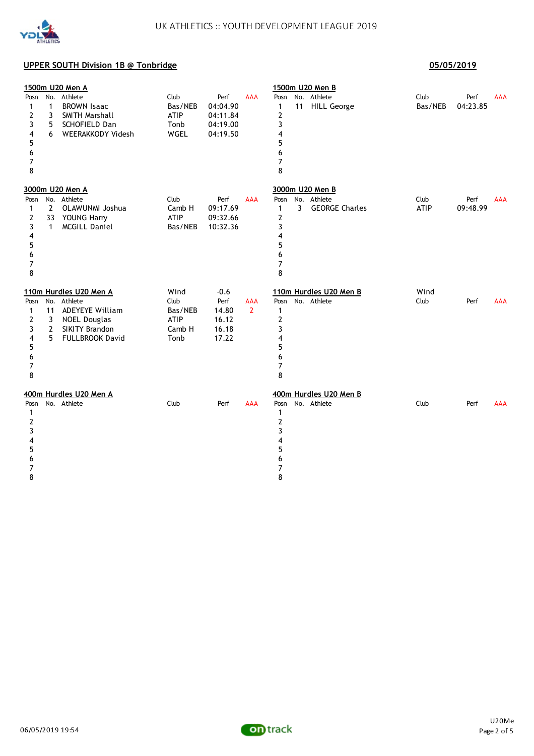

|                                                           |                                      | 1500m U20 Men A                                                                                                                    |                                                          |                                                      |                              | 1500m U20 Men B                                                                                                 |                       |                 |                  |            |
|-----------------------------------------------------------|--------------------------------------|------------------------------------------------------------------------------------------------------------------------------------|----------------------------------------------------------|------------------------------------------------------|------------------------------|-----------------------------------------------------------------------------------------------------------------|-----------------------|-----------------|------------------|------------|
| Posn<br>1<br>2<br>3<br>4<br>5<br>6<br>$\overline{7}$<br>8 | No.<br>$\mathbf{1}$<br>3<br>5<br>6   | Athlete<br><b>BROWN Isaac</b><br>SMITH Marshall<br>SCHOFIELD Dan<br><b>WEERAKKODY Videsh</b>                                       | Club<br>Bas/NEB<br>ATIP<br>Tonb<br>WGEL                  | Perf<br>04:04.90<br>04:11.84<br>04:19.00<br>04:19.50 | <b>AAA</b>                   | No. Athlete<br>Posn<br>11 HILL George<br>1<br>$\boldsymbol{2}$<br>3<br>4<br>5<br>6<br>7<br>8                    |                       | Club<br>Bas/NEB | Perf<br>04:23.85 | AAA        |
|                                                           |                                      |                                                                                                                                    |                                                          |                                                      |                              |                                                                                                                 |                       |                 |                  |            |
| Posn<br>1<br>2<br>3<br>4<br>5<br>6<br>7<br>8              | $\overline{2}$<br>33<br>$\mathbf{1}$ | 3000m U20 Men A<br>No. Athlete<br>OLAWUNMI Joshua<br>YOUNG Harry<br><b>MCGILL Daniel</b>                                           | Club<br>Camb H<br>ATIP<br>Bas/NEB                        | Perf<br>09:17.69<br>09:32.66<br>10:32.36             | <b>AAA</b>                   | 3000m U20 Men B<br>No. Athlete<br>Posn<br>$\mathbf{1}$<br>3<br>2<br>3<br>4<br>5<br>6<br>7<br>8                  | <b>GEORGE Charles</b> | Club<br>ATIP    | Perf<br>09:48.99 | AAA        |
| Posn<br>1<br>2<br>3<br>4<br>5<br>6<br>$\overline{7}$<br>8 | 11<br>3<br>$\overline{2}$<br>5       | 110m Hurdles U20 Men A<br>No. Athlete<br><b>ADEYEYE William</b><br><b>NOEL Douglas</b><br>SIKITY Brandon<br><b>FULLBROOK David</b> | Wind<br>Club<br>Bas/NEB<br><b>ATIP</b><br>Camb H<br>Tonb | $-0.6$<br>Perf<br>14.80<br>16.12<br>16.18<br>17.22   | <b>AAA</b><br>$\overline{2}$ | 110m Hurdles U20 Men B<br>No. Athlete<br>Posn<br>1<br>2<br>3<br>4<br>5<br>6<br>$\overline{7}$<br>8              |                       | Wind<br>Club    | Perf             | <b>AAA</b> |
| Posn<br>1<br>2<br>3<br>4<br>5<br>6<br>7<br>8              |                                      | 400m Hurdles U20 Men A<br>No. Athlete                                                                                              | Club                                                     | Perf                                                 | <b>AAA</b>                   | 400m Hurdles U20 Men B<br>No. Athlete<br>Posn<br>$\mathbf{1}$<br>$\boldsymbol{2}$<br>3<br>4<br>5<br>6<br>7<br>8 |                       | Club            | Perf             | <b>AAA</b> |

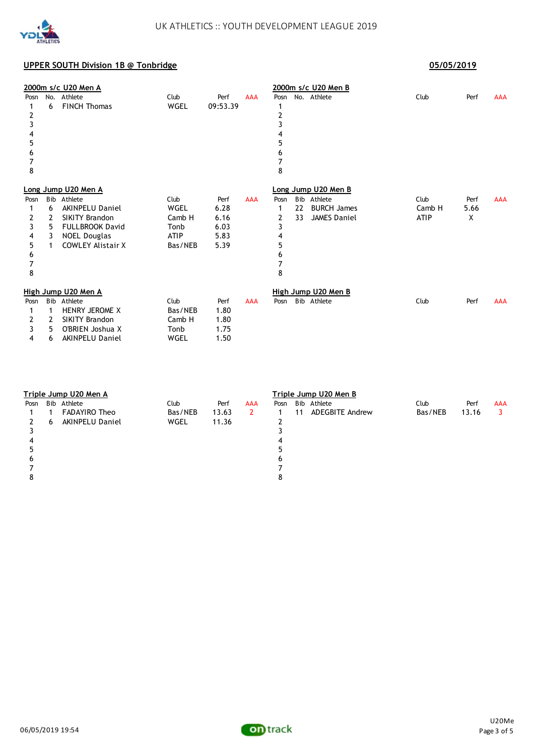

|      |     | 2000m s/c U20 Men A      |             |          |            | 2000m s/c U20 Men B            |             |      |            |
|------|-----|--------------------------|-------------|----------|------------|--------------------------------|-------------|------|------------|
| Posn | No. | Athlete                  | Club        | Perf     | <b>AAA</b> | No. Athlete<br>Posn            | Club        | Perf | <b>AAA</b> |
|      | 6   | FINCH Thomas             | <b>WGEL</b> | 09:53.39 |            |                                |             |      |            |
| 2    |     |                          |             |          |            |                                |             |      |            |
| 3    |     |                          |             |          |            |                                |             |      |            |
| 4    |     |                          |             |          |            |                                |             |      |            |
| 5    |     |                          |             |          |            |                                |             |      |            |
| 6    |     |                          |             |          |            |                                |             |      |            |
|      |     |                          |             |          |            |                                |             |      |            |
| 8    |     |                          |             |          |            | 8                              |             |      |            |
|      |     | Long Jump U20 Men A      |             |          |            | Long Jump U20 Men B            |             |      |            |
| Posn | Bib | Athlete                  | Club        | Perf     | <b>AAA</b> | Bib<br>Athlete<br>Posn         | Club        | Perf | <b>AAA</b> |
|      | 6   | <b>AKINPELU Daniel</b>   | WGEL        | 6.28     |            | 22<br><b>BURCH James</b>       | Camb H      | 5.66 |            |
| 2    | 2   | <b>SIKITY Brandon</b>    | Camb H      | 6.16     |            | <b>JAMES Daniel</b><br>33<br>2 | <b>ATIP</b> | X    |            |
| 3    | 5   | <b>FULLBROOK David</b>   | Tonb        | 6.03     |            |                                |             |      |            |
| 4    | 3   | <b>NOEL Douglas</b>      | ATIP        | 5.83     |            |                                |             |      |            |
| 5    | 1   | <b>COWLEY Alistair X</b> | Bas/NEB     | 5.39     |            |                                |             |      |            |
| 6    |     |                          |             |          |            |                                |             |      |            |
|      |     |                          |             |          |            |                                |             |      |            |
| 8    |     |                          |             |          |            | 8                              |             |      |            |
|      |     | High Jump U20 Men A      |             |          |            | High Jump U20 Men B            |             |      |            |
| Posn |     | Bib Athlete              | Club        | Perf     | <b>AAA</b> | Bib Athlete<br>Posn            | Club        | Perf | <b>AAA</b> |
|      |     | HENRY JEROME X           | Bas/NEB     | 1.80     |            |                                |             |      |            |
| 2    | 2   | SIKITY Brandon           | Camb H      | 1.80     |            |                                |             |      |            |
| 3    | 5   | O'BRIEN Joshua X         | Tonb        | 1.75     |            |                                |             |      |            |
| 4    | 6   | <b>AKINPELU Daniel</b>   | WGEL        | 1.50     |            |                                |             |      |            |

|      | Triple Jump U20 Men A |                        |         |       |     |      |    | Triple Jump U20 Men B  |         |       |            |  |  |
|------|-----------------------|------------------------|---------|-------|-----|------|----|------------------------|---------|-------|------------|--|--|
| Posn |                       | Bib Athlete            | Club    | Perf  | AAA | Posn |    | Bib Athlete            | Club    | Perf  | <b>AAA</b> |  |  |
|      |                       | FADAYIRO Theo          | Bas/NEB | 13.63 |     |      | 11 | <b>ADEGBITE Andrew</b> | Bas/NEB | 13.16 | 3          |  |  |
|      | 6                     | <b>AKINPELU Daniel</b> | WGEL    | 11.36 |     |      |    |                        |         |       |            |  |  |
|      |                       |                        |         |       |     |      |    |                        |         |       |            |  |  |
|      |                       |                        |         |       |     | 4    |    |                        |         |       |            |  |  |
|      |                       |                        |         |       |     |      |    |                        |         |       |            |  |  |
| 6    |                       |                        |         |       |     | b    |    |                        |         |       |            |  |  |
|      |                       |                        |         |       |     |      |    |                        |         |       |            |  |  |
|      |                       |                        |         |       |     |      |    |                        |         |       |            |  |  |

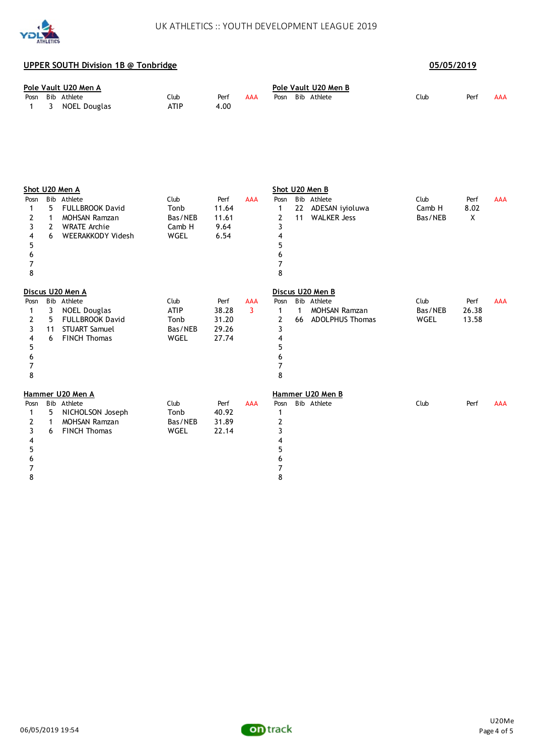



|                                                           |                   | Pole Vault U20 Men A                                                                                                            |                                                |                                          |                 | Pole Vault U20 Men B                                                                                                                                                                                                    |                                      |
|-----------------------------------------------------------|-------------------|---------------------------------------------------------------------------------------------------------------------------------|------------------------------------------------|------------------------------------------|-----------------|-------------------------------------------------------------------------------------------------------------------------------------------------------------------------------------------------------------------------|--------------------------------------|
| Posn<br>1                                                 | 3                 | Bib Athlete<br><b>NOEL Douglas</b>                                                                                              | Club<br><b>ATIP</b>                            | Perf<br>4.00                             | <b>AAA</b>      | Bib Athlete<br>Club<br>Posn                                                                                                                                                                                             | Perf<br><b>AAA</b>                   |
| Posn<br>1<br>2<br>3<br>4<br>5<br>6<br>7<br>8              | 5<br>1<br>2<br>6  | Shot U20 Men A<br>Bib Athlete<br><b>FULLBROOK David</b><br>MOHSAN Ramzan<br><b>WRATE Archie</b><br><b>WEERAKKODY Videsh</b>     | Club<br>Tonb<br>Bas/NEB<br>Camb H<br>WGEL      | Perf<br>11.64<br>11.61<br>9.64<br>6.54   | <b>AAA</b>      | Shot U20 Men B<br>Bib Athlete<br>Club<br>Posn<br>22<br>Camb H<br>8.02<br>ADESAN iyioluwa<br>1<br>2<br><b>WALKER Jess</b><br>11<br>Bas/NEB<br>3<br>4<br>5<br>6<br>$\overline{7}$<br>8                                    | Perf<br><b>AAA</b><br>X              |
| Posn<br>1<br>2<br>3<br>4<br>5<br>6<br>$\overline{7}$<br>8 | 3<br>5<br>11<br>6 | Discus U20 Men A<br>Bib Athlete<br><b>NOEL Douglas</b><br><b>FULLBROOK David</b><br><b>STUART Samuel</b><br><b>FINCH Thomas</b> | Club<br><b>ATIP</b><br>Tonb<br>Bas/NEB<br>WGEL | Perf<br>38.28<br>31.20<br>29.26<br>27.74 | <b>AAA</b><br>3 | Discus U20 Men B<br>Bib Athlete<br>Club<br>Posn<br>$\mathbf{1}$<br>$\mathbf{1}$<br><b>MOHSAN Ramzan</b><br>Bas/NEB<br>$\overline{2}$<br><b>ADOLPHUS Thomas</b><br>66<br>WGEL<br>3<br>4<br>5<br>6<br>$\overline{7}$<br>8 | Perf<br><b>AAA</b><br>26.38<br>13.58 |
| Posn<br>1<br>2<br>3<br>4                                  | 5<br>1<br>6       | Hammer U20 Men A<br>Bib Athlete<br>NICHOLSON Joseph<br><b>MOHSAN Ramzan</b><br><b>FINCH Thomas</b>                              | Club<br>Tonb<br>Bas/NEB<br>WGEL                | Perf<br>40.92<br>31.89<br>22.14          | <b>AAA</b>      | Hammer U20 Men B<br>Bib Athlete<br>Posn<br>Club<br>1<br>2<br>3<br>4                                                                                                                                                     | Perf<br><b>AAA</b>                   |

8

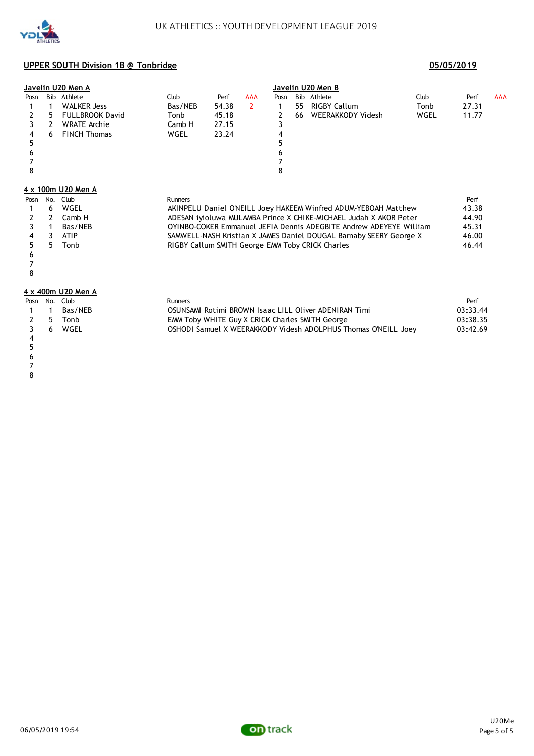|      | Javelin U20 Men A |                        |         |       |     |      | Javelin U20 Men B |                     |      |       |            |  |
|------|-------------------|------------------------|---------|-------|-----|------|-------------------|---------------------|------|-------|------------|--|
| Posn |                   | Bib Athlete            | Club    | Perf  | AAA | Posn | Bib               | Athlete             | Club | Perf  | <b>AAA</b> |  |
|      |                   | <b>WALKER Jess</b>     | Bas/NEB | 54.38 | 2   |      | 55                | <b>RIGBY Callum</b> | Tonb | 27.31 |            |  |
|      | 5.                | <b>FULLBROOK David</b> | Tonb    | 45.18 |     |      | 66                | WEERAKKODY Videsh   | WGEL | 11.77 |            |  |
|      |                   | <b>WRATE Archie</b>    | Camb H  | 27.15 |     |      |                   |                     |      |       |            |  |
| 4    | 6                 | <b>FINCH Thomas</b>    | WGEL    | 23.24 |     | 4    |                   |                     |      |       |            |  |
| 5    |                   |                        |         |       |     |      |                   |                     |      |       |            |  |
| 6    |                   |                        |         |       |     | 6    |                   |                     |      |       |            |  |
|      |                   |                        |         |       |     |      |                   |                     |      |       |            |  |
| 8    |                   |                        |         |       |     | 8    |                   |                     |      |       |            |  |
|      |                   |                        |         |       |     |      |                   |                     |      |       |            |  |

### **4 x 100m U20 Men A**

| Posn No. Club |    |             | <b>Runners</b>                                                     | Perf  |
|---------------|----|-------------|--------------------------------------------------------------------|-------|
|               | 6  | WGEL        | AKINPELU Daniel O'NEILL Joey HAKEEM Winfred ADUM-YEBOAH Matthew    | 43.38 |
| 2             |    | Camb H      | ADESAN iyioluwa MULAMBA Prince X CHIKE-MICHAEL Judah X AKOR Peter  | 44.90 |
|               |    | Bas/NEB     | OYINBO-COKER Emmanuel JEFIA Dennis ADEGBITE Andrew ADEYEYE William | 45.31 |
| 4             |    | <b>ATIP</b> | SAMWELL-NASH Kristian X JAMES Daniel DOUGAL Barnaby SEERY George X | 46.00 |
| 5.            | 5. | Tonb        | RIGBY Callum SMITH George EMM Toby CRICK Charles                   | 46.44 |
|               |    |             |                                                                    |       |
|               |    |             |                                                                    |       |
| 8             |    |             |                                                                    |       |

### **4 x 400m U20 Men A**

| Posn No. Club |     |         | <b>Runners</b>                                                 | Perf     |
|---------------|-----|---------|----------------------------------------------------------------|----------|
|               |     | Bas/NEB | OSUNSAMI Rotimi BROWN Isaac LILL Oliver ADENIRAN Timi          | 03:33.44 |
| $2 \quad 5$   |     | Tonb    | EMM Toby WHITE Guy X CRICK Charles SMITH George                | 03:38.35 |
|               | - 6 | WGEL    | OSHODI Samuel X WEERAKKODY Videsh ADOLPHUS Thomas O'NEILL Joey | 03:42.69 |
|               |     |         |                                                                |          |
|               |     |         |                                                                |          |

 $\epsilon$ 

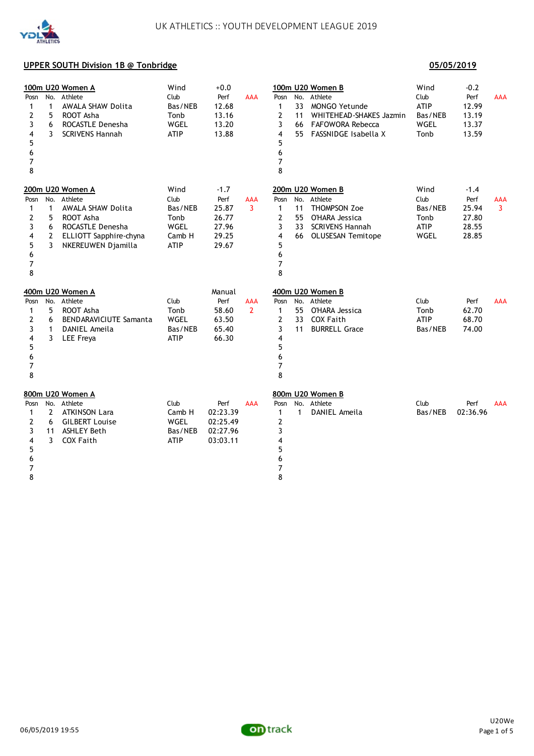

LETICS

|                                              |                                           | 100m U20 Women A                                                                                                                  | Wind                                                             | $+0.0$                                                      |                              |                                                                                              | 100m U20 Women B                                                                                                        | Wind                                            | $-0.2$                                             |                 |
|----------------------------------------------|-------------------------------------------|-----------------------------------------------------------------------------------------------------------------------------------|------------------------------------------------------------------|-------------------------------------------------------------|------------------------------|----------------------------------------------------------------------------------------------|-------------------------------------------------------------------------------------------------------------------------|-------------------------------------------------|----------------------------------------------------|-----------------|
| Posn<br>1<br>2<br>3<br>4<br>5<br>6<br>7<br>8 | No.<br>1<br>5<br>6<br>3                   | Athlete<br>AWALA SHAW Dolita<br>ROOT Asha<br>ROCASTLE Denesha<br><b>SCRIVENS Hannah</b>                                           | Club<br>Bas/NEB<br>Tonb<br>WGEL<br><b>ATIP</b>                   | Perf<br>12.68<br>13.16<br>13.20<br>13.88                    | <b>AAA</b>                   | Posn<br>33<br>-1<br>$\overline{2}$<br>11<br>3<br>66<br>4<br>5<br>6<br>$\overline{7}$<br>8    | No. Athlete<br><b>MONGO Yetunde</b><br>WHITEHEAD-SHAKES Jazmin<br>FAFOWORA Rebecca<br>55 FASSNIDGE Isabella X           | Club<br><b>ATIP</b><br>Bas/NEB<br>WGEL<br>Tonb  | Perf<br>12.99<br>13.19<br>13.37<br>13.59           | <b>AAA</b>      |
| Posn<br>1<br>2<br>3<br>4<br>5<br>6<br>7<br>8 | No.<br>1<br>5<br>6<br>$\overline{2}$<br>3 | 200m U20 Women A<br>Athlete<br>AWALA SHAW Dolita<br>ROOT Asha<br>ROCASTLE Denesha<br>ELLIOTT Sapphire-chyna<br>NKEREUWEN Djamilla | Wind<br>Club<br>Bas/NEB<br>Tonb<br>WGEL<br>Camb H<br><b>ATIP</b> | $-1.7$<br>Perf<br>25.87<br>26.77<br>27.96<br>29.25<br>29.67 | <b>AAA</b><br>3              | Posn<br>11<br>$\mathbf{1}$<br>2<br>55<br>3<br>33<br>4<br>66<br>5<br>6<br>$\overline{7}$<br>8 | 200m U20 Women B<br>No. Athlete<br><b>THOMPSON Zoe</b><br>O'HARA Jessica<br><b>SCRIVENS Hannah</b><br>OLUSESAN Temitope | Wind<br>Club<br>Bas/NEB<br>Tonb<br>ATIP<br>WGEL | $-1.4$<br>Perf<br>25.94<br>27.80<br>28.55<br>28.85 | <b>AAA</b><br>3 |
| Posn<br>1<br>2<br>3<br>4<br>5<br>6<br>7<br>8 | 5<br>6<br>1<br>3                          | 400m U20 Women A<br>No. Athlete<br>ROOT Asha<br>BENDARAVICIUTE Samanta<br>DANIEL Ameila<br>LEE Freya                              | Club<br>Tonb<br>WGEL<br>Bas/NEB<br><b>ATIP</b>                   | Manual<br>Perf<br>58.60<br>63.50<br>65.40<br>66.30          | <b>AAA</b><br>$\overline{2}$ | Posn<br>55<br>$\mathbf{1}$<br>2<br>33<br>3<br>11<br>4<br>5<br>6<br>$\overline{7}$<br>8       | 400m U20 Women B<br>No. Athlete<br>O'HARA Jessica<br>COX Faith<br><b>BURRELL Grace</b>                                  | Club<br>Tonb<br>ATIP<br>Bas/NEB                 | Perf<br>62.70<br>68.70<br>74.00                    | AAA             |
| Posn<br>1<br>2<br>3<br>4<br>5<br>6<br>7<br>8 | No.<br>$\overline{2}$<br>6<br>11<br>3     | 800m U20 Women A<br>Athlete<br><b>ATKINSON Lara</b><br><b>GILBERT Louise</b><br><b>ASHLEY Beth</b><br><b>COX Faith</b>            | Club<br>Camb H<br>WGEL<br>Bas/NEB<br><b>ATIP</b>                 | Perf<br>02:23.39<br>02:25.49<br>02:27.96<br>03:03.11        | <b>AAA</b>                   | Posn<br>1<br>$\mathbf{1}$<br>2<br>3<br>4<br>5<br>6<br>7<br>8                                 | 800m U20 Women B<br>No. Athlete<br>DANIEL Ameila                                                                        | Club<br>Bas/NEB                                 | Perf<br>02:36.96                                   | AAA             |

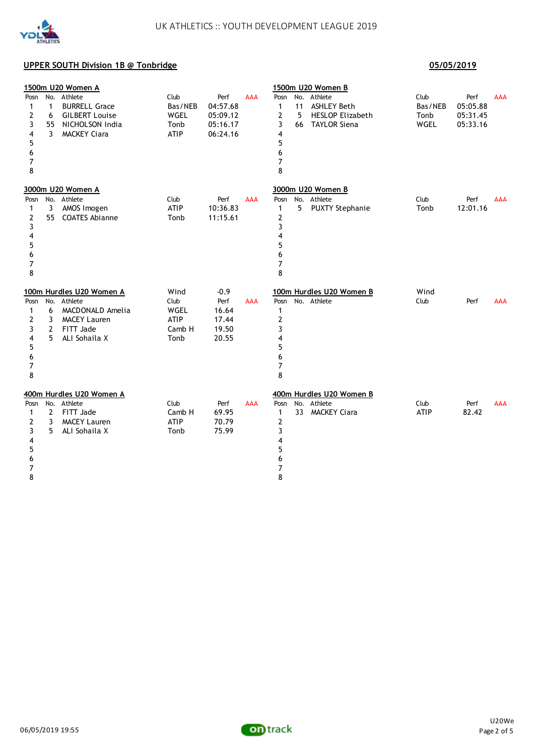

|                                                           |                                 | 1500m U20 Women A                                                                                      |                                                |                                                      |            | 1500m U20 Women B                                                                                                                                                                                                                   |            |
|-----------------------------------------------------------|---------------------------------|--------------------------------------------------------------------------------------------------------|------------------------------------------------|------------------------------------------------------|------------|-------------------------------------------------------------------------------------------------------------------------------------------------------------------------------------------------------------------------------------|------------|
| Posn<br>1<br>2<br>3<br>4<br>5<br>6<br>$\overline{7}$<br>8 | 1<br>6<br>55<br>3               | No. Athlete<br><b>BURRELL Grace</b><br><b>GILBERT Louise</b><br>NICHOLSON India<br><b>MACKEY Ciara</b> | Club<br>Bas/NEB<br>WGEL<br>Tonb<br><b>ATIP</b> | Perf<br>04:57.68<br>05:09.12<br>05:16.17<br>06:24.16 | <b>AAA</b> | No. Athlete<br>Club<br>Perf<br>Posn<br>11<br>05:05.88<br><b>ASHLEY Beth</b><br>Bas/NEB<br>1<br>2<br>5<br><b>HESLOP Elizabeth</b><br>05:31.45<br>Tonb<br>3<br><b>TAYLOR Siena</b><br>WGEL<br>66<br>05:33.16<br>4<br>5<br>6<br>7<br>8 | <b>AAA</b> |
|                                                           |                                 | 3000m U20 Women A                                                                                      |                                                |                                                      |            | 3000m U20 Women B                                                                                                                                                                                                                   |            |
| Posn<br>1<br>2<br>3<br>4<br>5<br>6<br>7<br>8              | 3<br>55                         | No. Athlete<br>AMOS Imogen<br><b>COATES Abianne</b>                                                    | Club<br><b>ATIP</b><br>Tonb                    | Perf<br>10:36.83<br>11:15.61                         | <b>AAA</b> | No. Athlete<br>Club<br>Posn<br>Perf<br>5<br>Tonb<br><b>PUXTY Stephanie</b><br>12:01.16<br>1<br>$\mathbf{2}$<br>3<br>4<br>5<br>6<br>7<br>8                                                                                           | AAA        |
|                                                           |                                 | 100m Hurdles U20 Women A                                                                               | Wind                                           | $-0.9$                                               |            | Wind<br>100m Hurdles U20 Women B                                                                                                                                                                                                    |            |
| Posn<br>1<br>2<br>3<br>4<br>5<br>6<br>7<br>8              | 6<br>3<br>$\overline{2}$<br>5   | No. Athlete<br>MACDONALD Amelia<br>MACEY Lauren<br>FITT Jade<br>ALI Sohaila X                          | Club<br>WGEL<br>ATIP<br>Camb H<br>Tonb         | Perf<br>16.64<br>17.44<br>19.50<br>20.55             | <b>AAA</b> | No. Athlete<br>Club<br>Posn<br>Perf<br>1<br>$\overline{2}$<br>3<br>4<br>5<br>6<br>$\overline{7}$<br>8                                                                                                                               | <b>AAA</b> |
|                                                           |                                 | 400m Hurdles U20 Women A                                                                               |                                                |                                                      |            | 400m Hurdles U20 Women B                                                                                                                                                                                                            |            |
| Posn<br>1<br>2<br>3<br>4<br>5<br>6<br>7<br>8              | No.<br>$\overline{2}$<br>3<br>5 | Athlete<br>FITT Jade<br><b>MACEY Lauren</b><br>ALI Sohaila X                                           | Club<br>Camb H<br><b>ATIP</b><br>Tonb          | Perf<br>69.95<br>70.79<br>75.99                      | <b>AAA</b> | No. Athlete<br>Club<br>Posn<br>Perf<br>33<br><b>MACKEY Ciara</b><br><b>ATIP</b><br>82.42<br>1<br>2<br>3<br>4<br>5<br>6<br>7<br>8                                                                                                    | <b>AAA</b> |

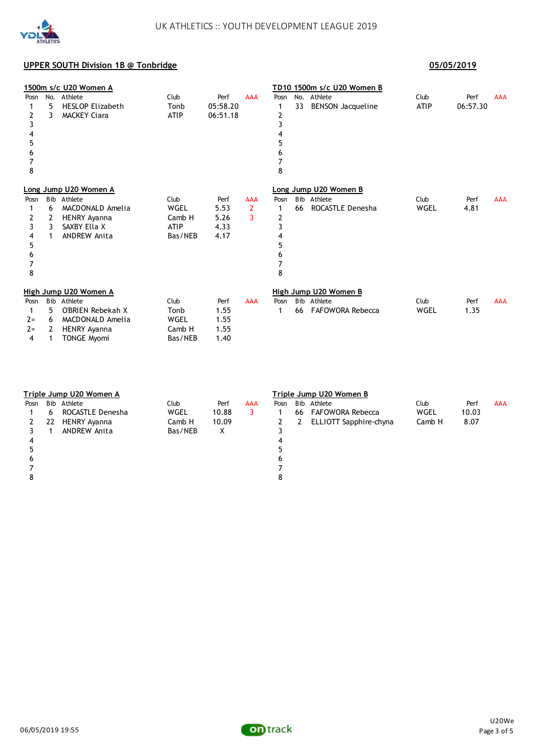

|       |     | 1500m s/c U20 Women A   |             |          |                |      |     | TD10 1500m s/c U20 Women B |             |          |            |
|-------|-----|-------------------------|-------------|----------|----------------|------|-----|----------------------------|-------------|----------|------------|
| Posn  | No. | Athlete                 | Club        | Perf     | <b>AAA</b>     | Posn | No. | Athlete                    | Club        | Perf     | <b>AAA</b> |
| 1     | 5   | <b>HESLOP Elizabeth</b> | Tonb        | 05:58.20 |                |      | 33  | <b>BENSON</b> Jacqueline   | <b>ATIP</b> | 06:57.30 |            |
| 2     | 3   | <b>MACKEY Ciara</b>     | <b>ATIP</b> | 06:51.18 |                | 2    |     |                            |             |          |            |
| 3     |     |                         |             |          |                | 3    |     |                            |             |          |            |
|       |     |                         |             |          |                |      |     |                            |             |          |            |
| 5     |     |                         |             |          |                | 5    |     |                            |             |          |            |
| 6     |     |                         |             |          |                | 6    |     |                            |             |          |            |
|       |     |                         |             |          |                |      |     |                            |             |          |            |
| 8     |     |                         |             |          |                | 8    |     |                            |             |          |            |
|       |     | Long Jump U20 Women A   |             |          |                |      |     | Long Jump U20 Women B      |             |          |            |
| Posn  |     | Bib Athlete             | Club        | Perf     | <b>AAA</b>     | Posn |     | Bib Athlete                | Club        | Perf     | <b>AAA</b> |
|       | 6   | MACDONALD Amelia        | <b>WGEL</b> | 5.53     | $\overline{2}$ |      | 66  | ROCASTLE Denesha           | WGEL        | 4.81     |            |
| 2     | 2   | <b>HENRY Ayanna</b>     | Camb H      | 5.26     | 3              | 2    |     |                            |             |          |            |
| 3     | 3   | SAXBY Ella X            | <b>ATIP</b> | 4.33     |                |      |     |                            |             |          |            |
| 4     | 1   | <b>ANDREW Anita</b>     | Bas/NEB     | 4.17     |                |      |     |                            |             |          |            |
| 5     |     |                         |             |          |                |      |     |                            |             |          |            |
| 6     |     |                         |             |          |                |      |     |                            |             |          |            |
|       |     |                         |             |          |                |      |     |                            |             |          |            |
| 8     |     |                         |             |          |                | 8    |     |                            |             |          |            |
|       |     | High Jump U20 Women A   |             |          |                |      |     | High Jump U20 Women B      |             |          |            |
| Posn  |     | Bib Athlete             | Club        | Perf     | <b>AAA</b>     | Posn |     | Bib Athlete                | Club        | Perf     | <b>AAA</b> |
| 1     | 5   | O'BRIEN Rebekah X       | Tonb        | 1.55     |                |      | 66  | <b>FAFOWORA Rebecca</b>    | WGEL        | 1.35     |            |
| $2 =$ | 6   | MACDONALD Amelia        | WGEL        | 1.55     |                |      |     |                            |             |          |            |
| $2 =$ | 2   | <b>HENRY Ayanna</b>     | Camb H      | 1.55     |                |      |     |                            |             |          |            |
| 4     | 1   | <b>TONGE Myomi</b>      | Bas/NEB     | 1.40     |                |      |     |                            |             |          |            |

|      | Triple Jump U20 Women A |                  |         |       |     |      | Triple Jump U20 Women B |                        |        |       |     |  |  |  |
|------|-------------------------|------------------|---------|-------|-----|------|-------------------------|------------------------|--------|-------|-----|--|--|--|
| Posn | Bib                     | Athlete          | Club    | Perf  | AAA | Posn |                         | Bib Athlete            | Club   | Perf  | AAA |  |  |  |
|      |                         | ROCASTLE Denesha | WGEL    | 10.88 |     |      | 66.                     | FAFOWORA Rebecca       | WGEL   | 10.03 |     |  |  |  |
|      | 22                      | HENRY Ayanna     | Camb H  | 10.09 |     |      |                         | ELLIOTT Sapphire-chyna | Camb H | 8.07  |     |  |  |  |
|      |                         | ANDREW Anita     | Bas/NEB | x     |     |      |                         |                        |        |       |     |  |  |  |
| 4    |                         |                  |         |       |     |      |                         |                        |        |       |     |  |  |  |
|      |                         |                  |         |       |     | 5    |                         |                        |        |       |     |  |  |  |
| 6    |                         |                  |         |       |     | 6    |                         |                        |        |       |     |  |  |  |
|      |                         |                  |         |       |     |      |                         |                        |        |       |     |  |  |  |
| 8    |                         |                  |         |       |     | 8    |                         |                        |        |       |     |  |  |  |

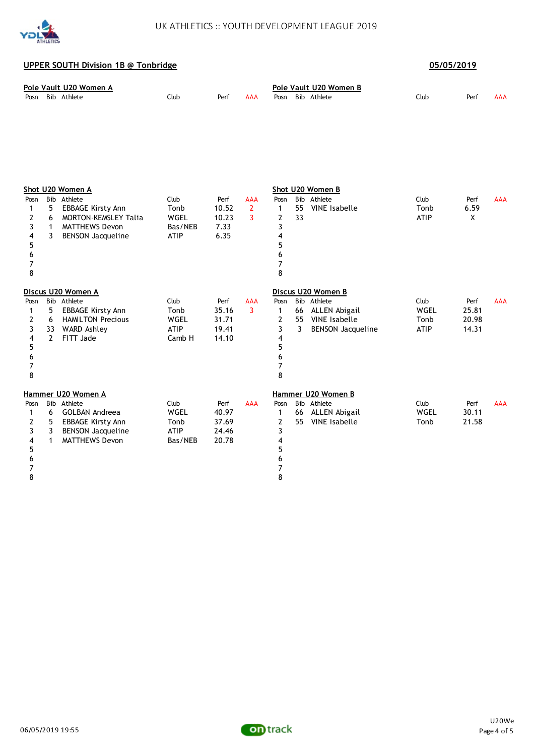

| Pole Vault U20 Women A |  |         |      |      |     | Pole Vault U20 Women B |  |                  |      |      |     |
|------------------------|--|---------|------|------|-----|------------------------|--|------------------|------|------|-----|
| Posn Bib               |  | Athlete | Club | Perf | AAA |                        |  | Posn Bib Athlete | Club | Perf | AAA |

|                                         |                                | Shot U20 Women A                                                                                                            |                                                |                                          |                                   |                                              |               | Shot U20 Women B                                                                 |                                     |                                 |            |
|-----------------------------------------|--------------------------------|-----------------------------------------------------------------------------------------------------------------------------|------------------------------------------------|------------------------------------------|-----------------------------------|----------------------------------------------|---------------|----------------------------------------------------------------------------------|-------------------------------------|---------------------------------|------------|
| Posn<br>2<br>3<br>4<br>5<br>6<br>8      | 5<br>6<br>1<br>3               | Bib Athlete<br><b>EBBAGE Kirsty Ann</b><br><b>MORTON-KEMSLEY Talia</b><br><b>MATTHEWS Devon</b><br><b>BENSON Jacqueline</b> | Club<br>Tonb<br>WGEL<br>Bas/NEB<br><b>ATIP</b> | Perf<br>10.52<br>10.23<br>7.33<br>6.35   | <b>AAA</b><br>$\overline{2}$<br>3 | Posn<br>1<br>2<br>3<br>4<br>5<br>6<br>7<br>8 | 55<br>33      | Bib Athlete<br><b>VINE</b> Isabelle                                              | Club<br>Tonb<br><b>ATIP</b>         | Perf<br>6.59<br>X               | <b>AAA</b> |
|                                         |                                | Discus U20 Women A                                                                                                          |                                                |                                          |                                   |                                              |               | Discus U20 Women B                                                               |                                     |                                 |            |
| Posn<br>2<br>3<br>4<br>5<br>6<br>8      | 5<br>6<br>33<br>$\overline{2}$ | Bib Athlete<br><b>EBBAGE Kirsty Ann</b><br><b>HAMILTON Precious</b><br>WARD Ashley<br>FITT Jade                             | Club<br>Tonb<br>WGEL<br><b>ATIP</b><br>Camb H  | Perf<br>35.16<br>31.71<br>19.41<br>14.10 | <b>AAA</b><br>3                   | Posn<br>1<br>2<br>3<br>4<br>5<br>8           | 66<br>55<br>3 | Bib Athlete<br>ALLEN Abigail<br><b>VINE Isabelle</b><br><b>BENSON</b> Jacqueline | Club<br>WGEL<br>Tonb<br><b>ATIP</b> | Perf<br>25.81<br>20.98<br>14.31 | <b>AAA</b> |
|                                         |                                | Hammer U20 Women A                                                                                                          |                                                |                                          |                                   |                                              |               | Hammer U20 Women B                                                               |                                     |                                 |            |
| Posn<br>2<br>3<br>4<br>5<br>6<br>7<br>8 | 6<br>5<br>3<br>1               | Bib Athlete<br><b>GOLBAN Andreea</b><br><b>EBBAGE Kirsty Ann</b><br><b>BENSON Jacqueline</b><br><b>MATTHEWS Devon</b>       | Club<br>WGEL<br>Tonb<br><b>ATIP</b><br>Bas/NEB | Perf<br>40.97<br>37.69<br>24.46<br>20.78 | <b>AAA</b>                        | Posn<br>1<br>2<br>3<br>4<br>5<br>8           | 66<br>55      | Bib Athlete<br><b>ALLEN Abigail</b><br><b>VINE</b> Isabelle                      | Club<br>WGEL<br>Tonb                | Perf<br>30.11<br>21.58          | <b>AAA</b> |

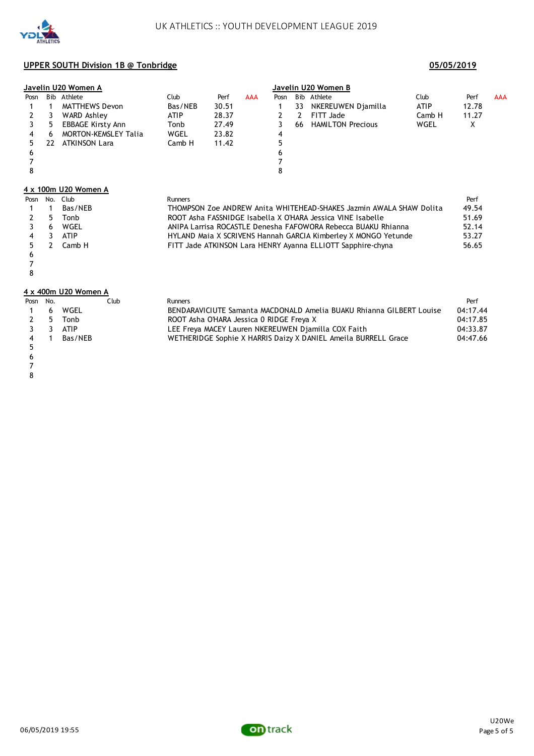

|      | Javelin U20 Women A |                             |         |       |     |      | Javelin U20 Women B |                          |             |       |            |  |  |
|------|---------------------|-----------------------------|---------|-------|-----|------|---------------------|--------------------------|-------------|-------|------------|--|--|
| Posn |                     | Bib Athlete                 | Club    | Perf  | AAA | Posn |                     | Bib Athlete              | Club        | Perf  | <b>AAA</b> |  |  |
|      |                     | <b>MATTHEWS Devon</b>       | Bas/NEB | 30.51 |     |      | 33                  | NKEREUWEN Djamilla       | <b>ATIP</b> | 12.78 |            |  |  |
|      |                     | WARD Ashley                 | ATIP    | 28.37 |     |      |                     | FITT Jade                | Camb H      | 11.27 |            |  |  |
|      |                     | EBBAGE Kirsty Ann           | Tonb    | 27.49 |     |      | 66                  | <b>HAMILTON Precious</b> | WGEL        | X     |            |  |  |
| 4    | 6                   | <b>MORTON-KEMSLEY Talia</b> | WGEL    | 23.82 |     | 4    |                     |                          |             |       |            |  |  |
|      | 22                  | <b>ATKINSON Lara</b>        | Camb H  | 11.42 |     | 5    |                     |                          |             |       |            |  |  |
| 6    |                     |                             |         |       |     | 6    |                     |                          |             |       |            |  |  |
|      |                     |                             |         |       |     |      |                     |                          |             |       |            |  |  |
| 8    |                     |                             |         |       |     | 8    |                     |                          |             |       |            |  |  |
|      |                     |                             |         |       |     |      |                     |                          |             |       |            |  |  |

### **4 x 100m U20 Women A**

| Posn No. Club |              |         | <b>Runners</b>                                                      | Perf  |
|---------------|--------------|---------|---------------------------------------------------------------------|-------|
|               |              | Bas/NEB | THOMPSON Zoe ANDREW Anita WHITEHEAD-SHAKES Jazmin AWALA SHAW Dolita | 49.54 |
| $2^{\circ}$   | -5.          | Tonh    | ROOT Asha FASSNIDGE Isabella X O'HARA Jessica VINE Isabelle         | 51.69 |
| 3             | 6            | WGEL    | ANIPA Larrisa ROCASTLE Denesha FAFOWORA Rebecca BUAKU Rhianna       | 52.14 |
| 4             | $\mathbf{R}$ | ATIP    | HYLAND Maia X SCRIVENS Hannah GARCIA Kimberley X MONGO Yetunde      | 53.27 |
| 5             |              | Camb H  | FITT Jade ATKINSON Lara HENRY Ayanna ELLIOTT Sapphire-chyna         | 56.65 |
|               |              |         |                                                                     |       |
|               |              |         |                                                                     |       |

### **4 x 400m U20 Women A**

| Posn No. |               |         | Club. | <b>Runners</b>                                                       | Perf     |
|----------|---------------|---------|-------|----------------------------------------------------------------------|----------|
|          | 6             | WGEL    |       | BENDARAVICIUTE Samanta MACDONALD Amelia BUAKU Rhianna GILBERT Louise | 04:17.44 |
| 2 5      |               | Tonb    |       | ROOT Asha O'HARA Jessica 0 RIDGE Freya X                             | 04:17.85 |
|          | $\mathcal{R}$ | ATIP    |       | LEE Freya MACEY Lauren NKEREUWEN Djamilla COX Faith                  | 04:33.87 |
| 4 1      |               | Bas/NEB |       | WETHERIDGE Sophie X HARRIS Daizy X DANIEL Ameila BURRELL Grace       | 04:47.66 |
|          |               |         |       |                                                                      |          |

- $\epsilon$
- 
- 

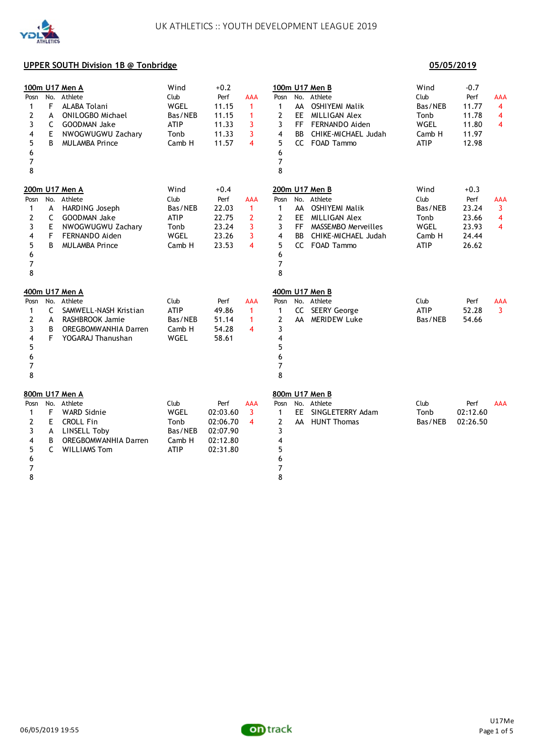

|                |              | 100m U17 Men A              | Wind        | $+0.2$   |                         |                     |     | 100m U17 Men B      | Wind        | $-0.7$   |                |
|----------------|--------------|-----------------------------|-------------|----------|-------------------------|---------------------|-----|---------------------|-------------|----------|----------------|
| Posn           | No.          | Athlete                     | Club        | Perf     | <b>AAA</b>              | Posn                |     | No. Athlete         | Club        | Perf     | AAA            |
| 1              | F            | ALABA Tolani                | WGEL        | 11.15    | 1                       | 1                   | AA  | OSHIYEMI Malik      | Bas/NEB     | 11.77    | $\overline{4}$ |
| 2              | A            | <b>ONILOGBO Michael</b>     | Bas/NEB     | 11.15    | $\mathbf{1}$            | $\overline{2}$      | EE. | MILLIGAN Alex       | Tonb        | 11.78    | $\overline{4}$ |
| 3              | C            | <b>GOODMAN Jake</b>         | <b>ATIP</b> | 11.33    | 3                       | 3                   | FF. | FERNANDO Aiden      | WGEL        | 11.80    | 4              |
| 4              | Е            | NWOGWUGWU Zachary           | Tonb        | 11.33    | 3                       | 4                   | BB  | CHIKE-MICHAEL Judah | Camb H      | 11.97    |                |
| 5              | <sub>B</sub> | <b>MULAMBA Prince</b>       | Camb H      | 11.57    | $\overline{\mathbf{4}}$ | 5                   |     | CC FOAD Tammo       | <b>ATIP</b> | 12.98    |                |
| 6              |              |                             |             |          |                         | 6                   |     |                     |             |          |                |
| 7              |              |                             |             |          |                         | 7                   |     |                     |             |          |                |
| 8              |              |                             |             |          |                         | 8                   |     |                     |             |          |                |
|                |              | 200m U17 Men A              | Wind        | $+0.4$   |                         |                     |     | 200m U17 Men B      | Wind        | $+0.3$   |                |
| Posn           |              | No. Athlete                 | Club        | Perf     | <b>AAA</b>              | Posn                |     | No. Athlete         | Club        | Perf     | AAA            |
| 1              | А            | HARDING Joseph              | Bas/NEB     | 22.03    | $\mathbf{1}$            | $\mathbf{1}$        |     | AA OSHIYEMI Malik   | Bas/NEB     | 23.24    | 3              |
| 2              | C            | <b>GOODMAN Jake</b>         | <b>ATIP</b> | 22.75    | 2                       | 2                   | EE. | MILLIGAN Alex       | Tonb        | 23.66    | 4              |
| 3              | E            | NWOGWUGWU Zachary           | Tonb        | 23.24    | 3                       | 3                   | FF  | MASSEMBO Merveilles | WGEL        | 23.93    | $\overline{4}$ |
| 4              | F            | FERNANDO Aiden              | WGEL        | 23.26    | 3                       | 4                   | BB  | CHIKE-MICHAEL Judah | Camb H      | 24.44    |                |
| 5              | B            | <b>MULAMBA Prince</b>       | Camb H      | 23.53    | 4                       | 5                   |     | CC FOAD Tammo       | <b>ATIP</b> | 26.62    |                |
| 6              |              |                             |             |          |                         | 6                   |     |                     |             |          |                |
| 7              |              |                             |             |          |                         | 7                   |     |                     |             |          |                |
| 8              |              |                             |             |          |                         | 8                   |     |                     |             |          |                |
|                |              |                             |             |          |                         |                     |     |                     |             |          |                |
|                |              | 400m U17 Men A              |             |          |                         |                     |     | 400m U17 Men B      |             |          |                |
| Posn           |              | No. Athlete                 | Club        | Perf     | <b>AAA</b>              | Posn                |     | No. Athlete         | Club        | Perf     | <b>AAA</b>     |
| 1              | C            | SAMWELL-NASH Kristian       | ATIP        | 49.86    | $\mathbf{1}$            | $\mathbf{1}$        |     | CC SEERY George     | <b>ATIP</b> | 52.28    | 3              |
| 2              | A            | RASHBROOK Jamie             | Bas/NEB     | 51.14    | 1                       | $\mathbf{2}$        |     | AA MERIDEW Luke     | Bas/NEB     | 54.66    |                |
| 3              | В            | OREGBOMWANHIA Darren        | Camb H      | 54.28    | $\overline{\mathbf{4}}$ | 3                   |     |                     |             |          |                |
| 4              | F            | YOGARAJ Thanushan           | WGEL        | 58.61    |                         | 4                   |     |                     |             |          |                |
| 5              |              |                             |             |          |                         | 5                   |     |                     |             |          |                |
| 6              |              |                             |             |          |                         | 6                   |     |                     |             |          |                |
| $\overline{7}$ |              |                             |             |          |                         | 7                   |     |                     |             |          |                |
| 8              |              |                             |             |          |                         | 8                   |     |                     |             |          |                |
|                |              | 800m U17 Men A              |             |          |                         |                     |     | 800m U17 Men B      |             |          |                |
| Posn           |              | No. Athlete                 | Club        | Perf     | AAA                     | Posn                |     | No. Athlete         | Club        | Perf     | <b>AAA</b>     |
| 1              | F            | <b>WARD Sidnie</b>          | <b>WGEL</b> | 02:03.60 | 3                       | 1                   | EE. | SINGLETERRY Adam    | Tonb        | 02:12.60 |                |
| 2              | Е            | CROLL Fin                   | Tonb        | 02:06.70 | 4                       | 2                   |     | AA HUNT Thomas      | Bas/NEB     | 02:26.50 |                |
| 3              | A            | LINSELL Toby                | Bas/NEB     | 02:07.90 |                         | 3                   |     |                     |             |          |                |
| 4              | В            | <b>OREGBOMWANHIA Darren</b> | Camb H      | 02:12.80 |                         | 4                   |     |                     |             |          |                |
| 5              |              | <b>WILLIAMS Tom</b>         | ATIP        | 02:31.80 |                         | 5                   |     |                     |             |          |                |
|                | C.           |                             |             |          |                         |                     |     |                     |             |          |                |
|                |              |                             |             |          |                         |                     |     |                     |             |          |                |
| 6<br>7         |              |                             |             |          |                         | 6<br>$\overline{7}$ |     |                     |             |          |                |

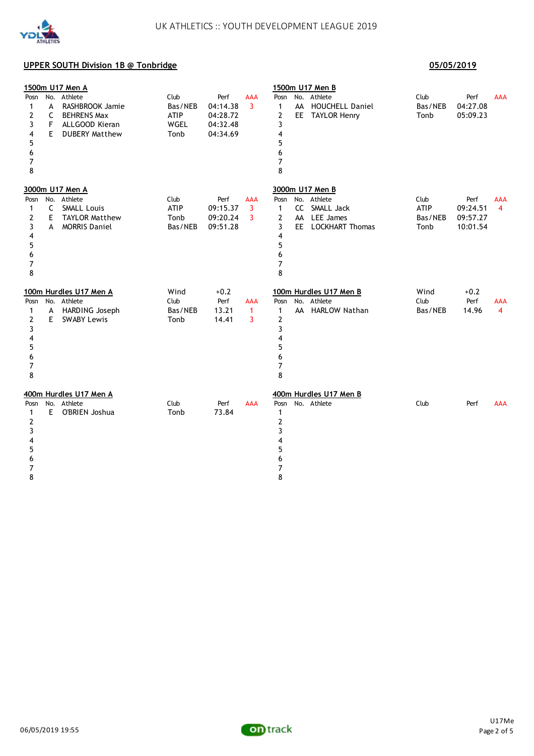

|                                              |                         | 1500m U17 Men A                                                                             |                                         |                                                      |                                 |                                                         | 1500m U17 Men B                                                    |                                        |                                          |                              |
|----------------------------------------------|-------------------------|---------------------------------------------------------------------------------------------|-----------------------------------------|------------------------------------------------------|---------------------------------|---------------------------------------------------------|--------------------------------------------------------------------|----------------------------------------|------------------------------------------|------------------------------|
| Posn<br>1<br>2<br>3<br>4<br>5<br>6<br>7<br>8 | No.<br>A<br>C<br>F<br>E | Athlete<br>RASHBROOK Jamie<br><b>BEHRENS Max</b><br>ALLGOOD Kieran<br><b>DUBERY Matthew</b> | Club<br>Bas/NEB<br>ATIP<br>WGEL<br>Tonb | Perf<br>04:14.38<br>04:28.72<br>04:32.48<br>04:34.69 | <b>AAA</b><br>3                 | Posn<br>$\mathbf{1}$<br>2<br>3<br>4<br>5<br>6<br>7<br>8 | No. Athlete<br>AA HOUCHELL Daniel<br>EE TAYLOR Henry               | Club<br>Bas/NEB<br>Tonb                | Perf<br>04:27.08<br>05:09.23             | <b>AAA</b>                   |
|                                              |                         | 3000m U17 Men A                                                                             |                                         |                                                      |                                 |                                                         | 3000m U17 Men B                                                    |                                        |                                          |                              |
| Posn<br>1<br>2<br>3<br>4<br>5<br>6<br>7<br>8 | C<br>E<br>A             | No. Athlete<br>SMALL Louis<br><b>TAYLOR Matthew</b><br><b>MORRIS Daniel</b>                 | Club<br><b>ATIP</b><br>Tonb<br>Bas/NEB  | Perf<br>09:15.37<br>09:20.24<br>09:51.28             | <b>AAA</b><br>3<br>3            | Posn<br>$\mathbf{1}$<br>2<br>3<br>4<br>5<br>6<br>7<br>8 | No. Athlete<br>CC SMALL Jack<br>AA LEE James<br>EE LOCKHART Thomas | Club<br><b>ATIP</b><br>Bas/NEB<br>Tonb | Perf<br>09:24.51<br>09:57.27<br>10:01.54 | AAA<br>$\overline{4}$        |
|                                              |                         | 100m Hurdles U17 Men A                                                                      | Wind                                    | $+0.2$                                               |                                 |                                                         | 100m Hurdles U17 Men B                                             | Wind                                   | $+0.2$                                   |                              |
| Posn<br>1<br>2<br>3<br>4<br>5<br>6<br>7<br>8 | А<br>Е                  | No. Athlete<br>HARDING Joseph<br><b>SWABY Lewis</b>                                         | Club<br>Bas/NEB<br>Tonb                 | Perf<br>13.21<br>14.41                               | <b>AAA</b><br>$\mathbf{1}$<br>3 | Posn<br>$\mathbf{1}$<br>2<br>3<br>4<br>5<br>6<br>7<br>8 | No. Athlete<br>AA HARLOW Nathan                                    | Club<br>Bas/NEB                        | Perf<br>14.96                            | <b>AAA</b><br>$\overline{4}$ |
|                                              |                         | 400m Hurdles U17 Men A                                                                      |                                         |                                                      |                                 |                                                         | 400m Hurdles U17 Men B                                             |                                        |                                          |                              |
| Posn<br>1<br>2<br>3<br>4<br>5<br>6<br>7<br>8 | No.<br>Е                | Athlete<br>O'BRIEN Joshua                                                                   | Club<br>Tonb                            | Perf<br>73.84                                        | <b>AAA</b>                      | Posn<br>1<br>2<br>3<br>4<br>5<br>6<br>7<br>8            | No. Athlete                                                        | Club                                   | Perf                                     | <b>AAA</b>                   |

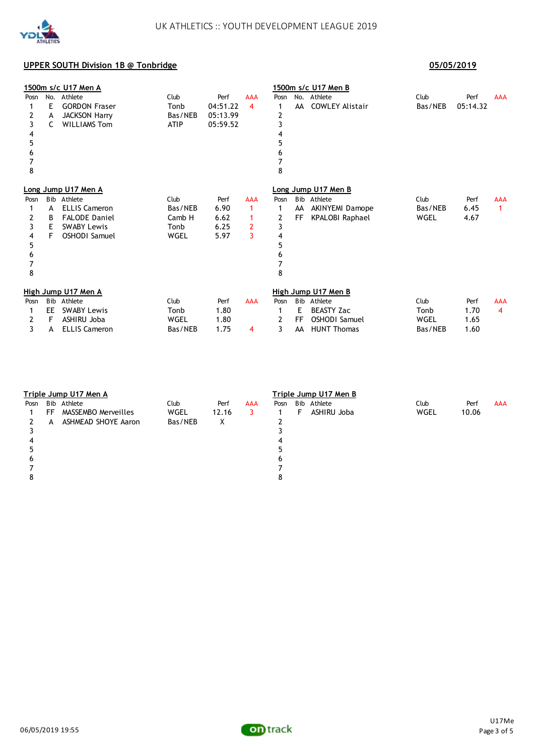

|      |             | 1500m s/c U17 Men A  |             |          |                |      |     | 1500m s/c U17 Men B    |         |          |            |
|------|-------------|----------------------|-------------|----------|----------------|------|-----|------------------------|---------|----------|------------|
| Posn | No.         | Athlete              | Club        | Perf     | <b>AAA</b>     | Posn | No. | Athlete                | Club    | Perf     | <b>AAA</b> |
|      | Ε           | <b>GORDON Fraser</b> | Tonb        | 04:51.22 | 4              |      | AA  | <b>COWLEY Alistair</b> | Bas/NEB | 05:14.32 |            |
| 2    | A           | <b>JACKSON Harry</b> | Bas/NEB     | 05:13.99 |                | 2    |     |                        |         |          |            |
| 3    | C           | <b>WILLIAMS Tom</b>  | <b>ATIP</b> | 05:59.52 |                | 3    |     |                        |         |          |            |
| 4    |             |                      |             |          |                |      |     |                        |         |          |            |
| 5    |             |                      |             |          |                | 5    |     |                        |         |          |            |
| 6    |             |                      |             |          |                |      |     |                        |         |          |            |
|      |             |                      |             |          |                |      |     |                        |         |          |            |
| 8    |             |                      |             |          |                | 8    |     |                        |         |          |            |
|      |             | Long Jump U17 Men A  |             |          |                |      |     | Long Jump U17 Men B    |         |          |            |
| Posn | <b>B</b> ib | Athlete              | Club        | Perf     | <b>AAA</b>     | Posn |     | Bib Athlete            | Club    | Perf     | <b>AAA</b> |
|      | A           | <b>ELLIS Cameron</b> | Bas/NEB     | 6.90     |                |      | AA  | <b>AKINYEMI Damope</b> | Bas/NEB | 6.45     | 1          |
| 2    | B           | <b>FALODE Daniel</b> | Camb H      | 6.62     |                | 2    | FF  | <b>KPALOBI Raphael</b> | WGEL    | 4.67     |            |
| 3    | Е           | <b>SWABY Lewis</b>   | Tonb        | 6.25     | $\overline{2}$ | 3    |     |                        |         |          |            |
| 4    | F           | <b>OSHODI Samuel</b> | WGEL        | 5.97     | 3              | 4    |     |                        |         |          |            |
| 5    |             |                      |             |          |                |      |     |                        |         |          |            |
|      |             |                      |             |          |                |      |     |                        |         |          |            |
|      |             |                      |             |          |                |      |     |                        |         |          |            |
| 8    |             |                      |             |          |                | 8    |     |                        |         |          |            |
|      |             | High Jump U17 Men A  |             |          |                |      |     | High Jump U17 Men B    |         |          |            |
| Posn |             | Bib Athlete          | Club        | Perf     | <b>AAA</b>     | Posn |     | Bib Athlete            | Club    | Perf     | <b>AAA</b> |
|      | EE          | <b>SWABY Lewis</b>   | Tonb        | 1.80     |                |      | Е   | <b>BEASTY Zac</b>      | Tonb    | 1.70     | 4          |
| 2    | F           | ASHIRU Joba          | WGEL        | 1.80     |                | 2    | FF  | <b>OSHODI Samuel</b>   | WGEL    | 1.65     |            |
| 3    | А           | <b>ELLIS Cameron</b> | Bas/NEB     | 1.75     | 4              | 3    | AA  | <b>HUNT Thomas</b>     | Bas/NEB | 1.60     |            |

|      | Triple Jump U17 Men A |                     |         |       |     |      | Triple Jump U17 Men B |             |      |       |     |  |  |
|------|-----------------------|---------------------|---------|-------|-----|------|-----------------------|-------------|------|-------|-----|--|--|
| Posn |                       | Bib Athlete         | Club    | Perf  | AAA | Posn | Bib                   | Athlete     | Club | Perf  | AAA |  |  |
|      | FF                    | MASSEMBO Merveilles | WGEL    | 12.16 |     |      | F                     | ASHIRU Joba | WGEL | 10.06 |     |  |  |
|      | A                     | ASHMEAD SHOYE Aaron | Bas/NEB | X     |     |      |                       |             |      |       |     |  |  |
|      |                       |                     |         |       |     |      |                       |             |      |       |     |  |  |
|      |                       |                     |         |       |     | 4    |                       |             |      |       |     |  |  |
|      |                       |                     |         |       |     |      |                       |             |      |       |     |  |  |
| b    |                       |                     |         |       |     | O    |                       |             |      |       |     |  |  |
|      |                       |                     |         |       |     |      |                       |             |      |       |     |  |  |
|      |                       |                     |         |       |     |      |                       |             |      |       |     |  |  |

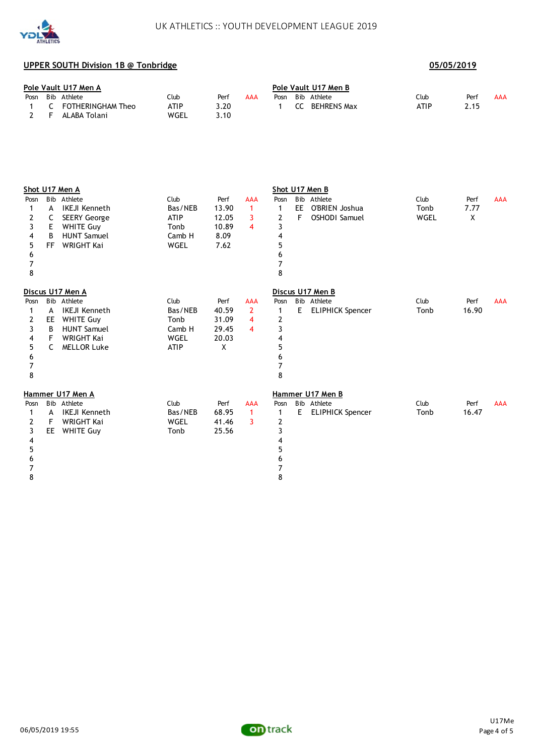

| Pole Vault U17 Men A |                   |      |      |     |      |     | Pole Vault U17 Men B |             |      |     |
|----------------------|-------------------|------|------|-----|------|-----|----------------------|-------------|------|-----|
|                      | Posn Bib Athlete  | Club | Perf | AAA | Posn | Bib | Athlete              | Club        | Perf | AAA |
| $\epsilon$           | FOTHERINGHAM Theo | ATIP | 3.20 |     |      | CC  | BEHRENS Max          | <b>ATIP</b> | 2.15 |     |
| -F.                  | ALABA Tolani      | WGEL | 3.10 |     |      |     |                      |             |      |     |

| Posn<br>1<br>2<br>3<br>4<br>5<br>6<br>8      | A<br>C<br>Е<br>B<br><b>FF</b> | Shot U17 Men A<br>Bib Athlete<br><b>IKEJI Kenneth</b><br><b>SEERY George</b><br><b>WHITE Guy</b><br><b>HUNT Samuel</b><br><b>WRIGHT Kai</b>  | Club<br>Bas/NEB<br><b>ATIP</b><br>Tonb<br>Camb H<br>WGEL | Perf<br>13.90<br>12.05<br>10.89<br>8.09<br>7.62 | <b>AAA</b><br>$\mathbf{1}$<br>3<br>$\overline{\mathbf{4}}$ | Posn<br>1<br>2<br>3<br>4<br>5<br>6<br>8 | EE.<br>F | Shot U17 Men B<br>Bib Athlete<br>O'BRIEN Joshua<br><b>OSHODI Samuel</b> | Club<br>Tonb<br><b>WGEL</b> | Perf<br>7.77<br>X | <b>AAA</b> |
|----------------------------------------------|-------------------------------|----------------------------------------------------------------------------------------------------------------------------------------------|----------------------------------------------------------|-------------------------------------------------|------------------------------------------------------------|-----------------------------------------|----------|-------------------------------------------------------------------------|-----------------------------|-------------------|------------|
| Posn<br>1<br>2<br>3<br>4<br>5<br>6<br>7<br>8 | A<br>EE<br>B<br>F<br>C        | Discus U17 Men A<br>Bib Athlete<br><b>IKEJI Kenneth</b><br><b>WHITE Guy</b><br><b>HUNT Samuel</b><br><b>WRIGHT Kai</b><br><b>MELLOR Luke</b> | Club<br>Bas/NEB<br>Tonb<br>Camb H<br>WGEL<br><b>ATIP</b> | Perf<br>40.59<br>31.09<br>29.45<br>20.03<br>X   | <b>AAA</b><br>$\overline{2}$<br>4<br>4                     | Posn<br>1<br>2<br>3<br>4<br>5<br>6<br>8 | E        | Discus U17 Men B<br>Bib Athlete<br><b>ELIPHICK Spencer</b>              | Club<br>Tonb                | Perf<br>16.90     | <b>AAA</b> |
| Posn<br>1<br>2<br>3<br>4<br>5<br>6<br>8      | A<br>F<br>EE.                 | Hammer U17 Men A<br>Bib Athlete<br><b>IKEJI Kenneth</b><br><b>WRIGHT Kai</b><br><b>WHITE Guy</b>                                             | Club<br>Bas/NEB<br>WGEL<br>Tonb                          | Perf<br>68.95<br>41.46<br>25.56                 | <b>AAA</b><br>1<br>3                                       | Posn<br>1<br>2<br>3<br>4<br>5<br>8      | E        | Hammer U17 Men B<br>Bib Athlete<br><b>ELIPHICK Spencer</b>              | Club<br>Tonb                | Perf<br>16.47     | <b>AAA</b> |

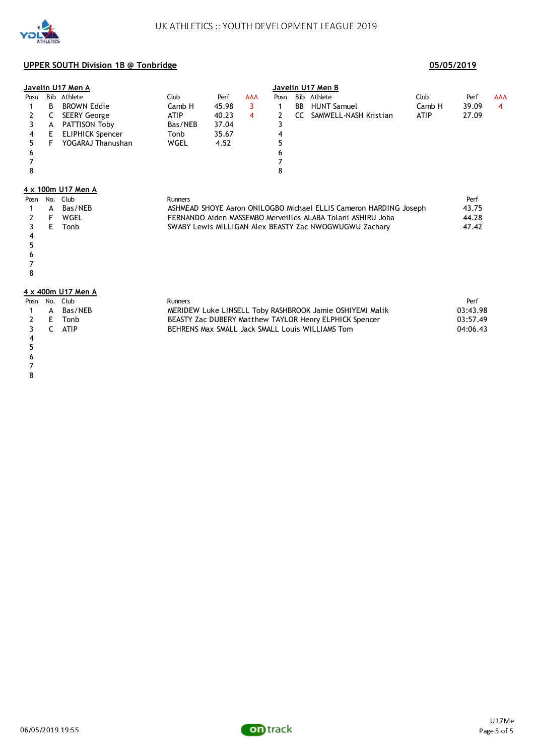

|      | Javelin U17 Men A |                         |             |       |     |      | Javelin U17 Men B |                       |             |       |            |  |  |
|------|-------------------|-------------------------|-------------|-------|-----|------|-------------------|-----------------------|-------------|-------|------------|--|--|
| Posn |                   | Bib Athlete             | Club        | Perf  | AAA | Posn |                   | Bib Athlete           | Club        | Perf  | <b>AAA</b> |  |  |
|      | В                 | <b>BROWN Eddie</b>      | Camb H      | 45.98 | 3   |      | BB                | <b>HUNT Samuel</b>    | Camb H      | 39.09 | 4          |  |  |
|      |                   | <b>SEERY George</b>     | <b>ATIP</b> | 40.23 | 4   |      | CC.               | SAMWELL-NASH Kristian | <b>ATIP</b> | 27.09 |            |  |  |
|      | A                 | PATTISON Toby           | Bas/NEB     | 37.04 |     |      |                   |                       |             |       |            |  |  |
| 4    | E                 | <b>ELIPHICK Spencer</b> | Tonb        | 35.67 |     | 4    |                   |                       |             |       |            |  |  |
|      | F                 | YOGARAJ Thanushan       | WGEL        | 4.52  |     |      |                   |                       |             |       |            |  |  |
| 6    |                   |                         |             |       |     | 6    |                   |                       |             |       |            |  |  |
|      |                   |                         |             |       |     |      |                   |                       |             |       |            |  |  |
| 8    |                   |                         |             |       |     | 8    |                   |                       |             |       |            |  |  |
|      |                   |                         |             |       |     |      |                   |                       |             |       |            |  |  |

### **4 x 100m U17 Men A**

| Posn |   | No. Club | Runners                                                           | Perf  |
|------|---|----------|-------------------------------------------------------------------|-------|
|      | А | Bas/NEB  | ASHMEAD SHOYE Aaron ONILOGBO Michael ELLIS Cameron HARDING Joseph | 43.75 |
|      | F | WGEL     | FERNANDO Aiden MASSEMBO Merveilles ALABA Tolani ASHIRU Joba       | 44.28 |
|      |   | Tonb     | SWABY Lewis MILLIGAN Alex BEASTY Zac NWOGWUGWU Zachary            | 47.42 |
|      |   |          |                                                                   |       |
|      |   |          |                                                                   |       |
|      |   |          |                                                                   |       |
|      |   |          |                                                                   |       |
|      |   |          |                                                                   |       |

### **4 x 400m U17 Men A**

| Posn No. Club |   |          | <b>Runners</b>                                           | Perf     |
|---------------|---|----------|----------------------------------------------------------|----------|
|               | A | Bas/NEB  | MERIDEW Luke LINSELL Toby RASHBROOK Jamie OSHIYEMI Malik | 03:43.98 |
| 2 E           |   | Tonb     | BEASTY Zac DUBERY Matthew TAYLOR Henry ELPHICK Spencer   | 03:57.49 |
|               |   | 3 C ATIP | BEHRENS Max SMALL Jack SMALL Louis WILLIAMS Tom          | 04:06.43 |
|               |   |          |                                                          |          |
|               |   |          |                                                          |          |

- $\epsilon$
- 

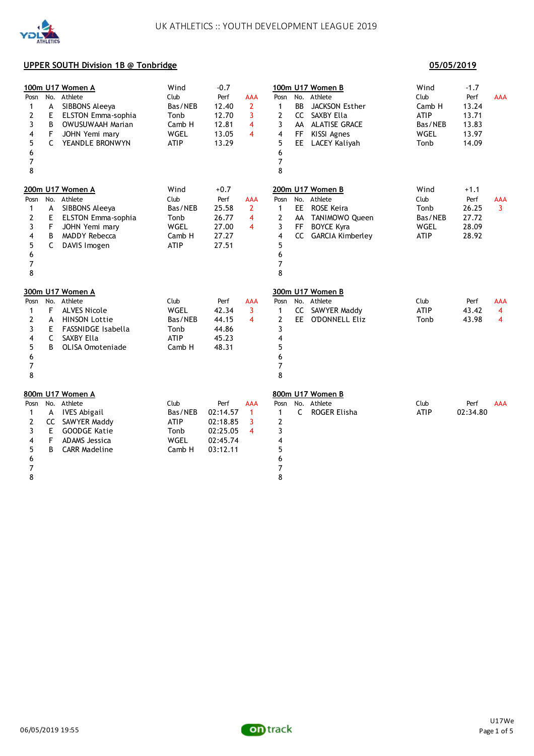

LETICS

|      |     | 100m U17 Women A        | Wind        | $-0.7$   |                |                |           | 100m U17 Women B        | Wind        | $-1.7$   |                |
|------|-----|-------------------------|-------------|----------|----------------|----------------|-----------|-------------------------|-------------|----------|----------------|
| Posn | No. | Athlete                 | Club        | Perf     | <b>AAA</b>     | Posn           | No.       | Athlete                 | Club        | Perf     | <b>AAA</b>     |
| 1    | А   | SIBBONS Aleeya          | Bas/NEB     | 12.40    | 2              | 1              | <b>BB</b> | JACKSON Esther          | Camb H      | 13.24    |                |
| 2    | E   | ELSTON Emma-sophia      | Tonb        | 12.70    | 3              | $\overline{2}$ |           | CC SAXBY Ella           | <b>ATIP</b> | 13.71    |                |
| 3    | B   | <b>OWUSUWAAH Marian</b> | Camb H      | 12.81    | $\overline{4}$ | 3              |           | AA ALATISE GRACE        | Bas/NEB     | 13.83    |                |
| 4    | F   | JOHN Yemi mary          | WGEL        | 13.05    | 4              | 4              | FF        | KISSI Agnes             | WGEL        | 13.97    |                |
| 5    | C   | YEANDLE BRONWYN         | <b>ATIP</b> | 13.29    |                | 5              | EE.       | LACEY Kaliyah           | Tonb        | 14.09    |                |
| 6    |     |                         |             |          |                | 6              |           |                         |             |          |                |
| 7    |     |                         |             |          |                | 7              |           |                         |             |          |                |
| 8    |     |                         |             |          |                | 8              |           |                         |             |          |                |
|      |     | 200m U17 Women A        | Wind        | $+0.7$   |                |                |           | 200m U17 Women B        | Wind        | $+1.1$   |                |
| Posn | No. | Athlete                 | Club        | Perf     | <b>AAA</b>     | Posn           |           | No. Athlete             | Club        | Perf     | <b>AAA</b>     |
| 1    | А   | SIBBONS Aleeya          | Bas/NEB     | 25.58    | $\mathbf{2}$   | $\mathbf{1}$   | EE.       | ROSE Keira              | Tonb        | 26.25    | 3              |
| 2    | Е   | ELSTON Emma-sophia      | Tonb        | 26.77    | 4              | 2              | AA        | TANIMOWO Queen          | Bas/NEB     | 27.72    |                |
| 3    | F   | JOHN Yemi mary          | WGEL        | 27.00    | 4              | 3              | FF        | <b>BOYCE Kyra</b>       | WGEL        | 28.09    |                |
| 4    | B   | <b>MADDY Rebecca</b>    | Camb H      | 27.27    |                | 4              | CC.       | <b>GARCIA Kimberley</b> | <b>ATIP</b> | 28.92    |                |
| 5    | C   | DAVIS Imogen            | ATIP        | 27.51    |                | 5              |           |                         |             |          |                |
| 6    |     |                         |             |          |                | 6              |           |                         |             |          |                |
| 7    |     |                         |             |          |                | 7              |           |                         |             |          |                |
| 8    |     |                         |             |          |                | 8              |           |                         |             |          |                |
|      |     | 300m U17 Women A        |             |          |                |                |           | 300m U17 Women B        |             |          |                |
| Posn |     | No. Athlete             | Club        | Perf     | <b>AAA</b>     | Posn           |           | No. Athlete             | Club        | Perf     | <b>AAA</b>     |
| 1    | F   | <b>ALVES Nicole</b>     | WGEL        | 42.34    | 3              | $\mathbf{1}$   |           | CC SAWYER Maddy         | <b>ATIP</b> | 43.42    | $\overline{4}$ |
| 2    | A   | <b>HINSON Lottie</b>    | Bas/NEB     | 44.15    | 4              | $\overline{2}$ |           | EE O'DONNELL Eliz       | Tonb        | 43.98    | $\overline{4}$ |
| 3    | Е   | FASSNIDGE Isabella      | Tonb        | 44.86    |                | 3              |           |                         |             |          |                |
| 4    | C   | SAXBY Ella              | <b>ATIP</b> | 45.23    |                | 4              |           |                         |             |          |                |
| 5    | В   | OLISA Omoteniade        | Camb H      | 48.31    |                | 5              |           |                         |             |          |                |
| 6    |     |                         |             |          |                | 6              |           |                         |             |          |                |
| 7    |     |                         |             |          |                | 7              |           |                         |             |          |                |
| 8    |     |                         |             |          |                | 8              |           |                         |             |          |                |
|      |     | 800m U17 Women A        |             |          |                |                |           | 800m U17 Women B        |             |          |                |
| Posn | No. | Athlete                 | Club        | Perf     | <b>AAA</b>     | Posn           |           | No. Athlete             | Club        | Perf     | <b>AAA</b>     |
| 1    | A   | <b>IVES Abigail</b>     | Bas/NEB     | 02:14.57 | $\mathbf{1}$   | 1              | C         | ROGER Elisha            | <b>ATIP</b> | 02:34.80 |                |
| 2    | CC  | SAWYER Maddy            | ATIP        | 02:18.85 | 3              | 2              |           |                         |             |          |                |
| 3    | E   | <b>GOODGE Katie</b>     | Tonb        | 02:25.05 | 4              | 3              |           |                         |             |          |                |
| 4    | F   | ADAMS Jessica           | WGEL        | 02:45.74 |                | 4              |           |                         |             |          |                |
| 5    | B   | <b>CARR Madeline</b>    | Camb H      | 03:12.11 |                | 5              |           |                         |             |          |                |
| 6    |     |                         |             |          |                | 6              |           |                         |             |          |                |
| 7    |     |                         |             |          |                | 7              |           |                         |             |          |                |
| 8    |     |                         |             |          |                | 8              |           |                         |             |          |                |

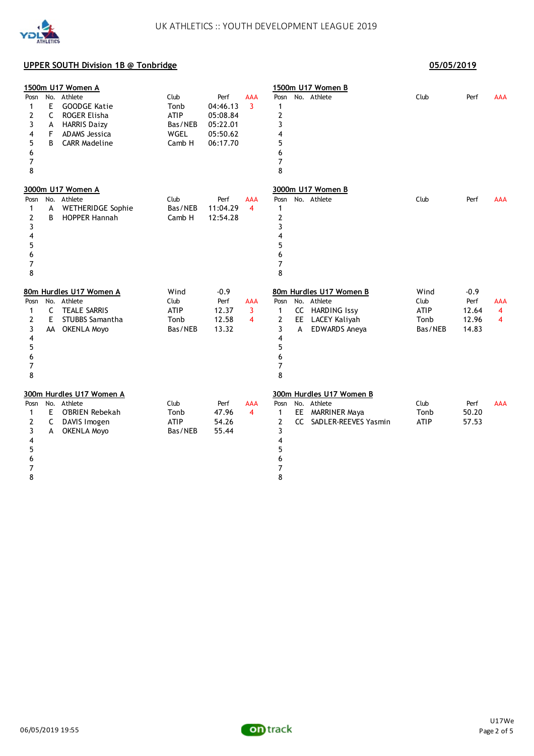

| 1500m U17 Women A                            |                              |                                                                                                                       |                                                          |                                                                  |                                            | 1500m U17 Women B                                                                                                                          |                                        |                                 |               |  |  |  |
|----------------------------------------------|------------------------------|-----------------------------------------------------------------------------------------------------------------------|----------------------------------------------------------|------------------------------------------------------------------|--------------------------------------------|--------------------------------------------------------------------------------------------------------------------------------------------|----------------------------------------|---------------------------------|---------------|--|--|--|
| Posn<br>1<br>2<br>3<br>4<br>5<br>6<br>7<br>8 | No.<br>Е<br>C<br>A<br>F<br>B | Athlete<br><b>GOODGE Katie</b><br><b>ROGER Elisha</b><br><b>HARRIS Daizy</b><br>ADAMS Jessica<br><b>CARR Madeline</b> | Club<br>Tonb<br><b>ATIP</b><br>Bas/NEB<br>WGEL<br>Camb H | Perf<br>04:46.13<br>05:08.84<br>05:22.01<br>05:50.62<br>06:17.70 | <b>AAA</b><br>3                            | No. Athlete<br>Posn<br>1<br>$\overline{2}$<br>3<br>4<br>5<br>6<br>7<br>8                                                                   | Club                                   | Perf                            | <b>AAA</b>    |  |  |  |
|                                              |                              | 3000m U17 Women A                                                                                                     |                                                          |                                                                  |                                            | 3000m U17 Women B                                                                                                                          |                                        |                                 |               |  |  |  |
| Posn<br>1<br>2<br>3<br>4<br>5<br>6<br>7<br>8 | А<br>B                       | No. Athlete<br><b>WETHERIDGE Sophie</b><br><b>HOPPER Hannah</b>                                                       | Club<br>Bas/NEB<br>Camb H                                | Perf<br>11:04.29<br>12:54.28                                     | <b>AAA</b><br>$\overline{4}$               | No. Athlete<br>Posn<br>1<br>2<br>3<br>4<br>5<br>6<br>7<br>8                                                                                | Club                                   | Perf                            | <b>AAA</b>    |  |  |  |
|                                              |                              | 80m Hurdles U17 Women A                                                                                               | Wind                                                     | $-0.9$                                                           |                                            | 80m Hurdles U17 Women B                                                                                                                    | Wind                                   | $-0.9$                          |               |  |  |  |
| Posn<br>1<br>2<br>3<br>4<br>5<br>6<br>7<br>8 | C<br>Ε<br>AA                 | No. Athlete<br><b>TEALE SARRIS</b><br><b>STUBBS Samantha</b><br><b>OKENLA Moyo</b>                                    | Club<br>ATIP<br>Tonb<br>Bas/NEB                          | Perf<br>12.37<br>12.58<br>13.32                                  | <b>AAA</b><br>3<br>$\overline{\mathbf{4}}$ | No. Athlete<br>Posn<br>CC.<br><b>HARDING Issy</b><br>1<br>2<br>EE LACEY Kaliyah<br>3<br><b>EDWARDS Aneya</b><br>A<br>4<br>5<br>6<br>7<br>8 | Club<br><b>ATIP</b><br>Tonb<br>Bas/NEB | Perf<br>12.64<br>12.96<br>14.83 | AAA<br>4<br>4 |  |  |  |
|                                              |                              | 300m Hurdles U17 Women A                                                                                              |                                                          |                                                                  |                                            | 300m Hurdles U17 Women B                                                                                                                   |                                        |                                 |               |  |  |  |
| Posn<br>1<br>2<br>3<br>4<br>5<br>6<br>7<br>8 | No.<br>E<br>C<br>A           | Athlete<br>O'BRIEN Rebekah<br>DAVIS Imogen<br><b>OKENLA Movo</b>                                                      | Club<br>Tonb<br>ATIP<br>Bas/NEB                          | Perf<br>47.96<br>54.26<br>55.44                                  | <b>AAA</b><br>4                            | No. Athlete<br>Posn<br>EE MARRINER Maya<br>1<br>$\overline{2}$<br>SADLER-REEVES Yasmin<br>CC<br>3<br>4<br>5<br>6<br>7<br>8                 | Club<br>Tonb<br><b>ATIP</b>            | Perf<br>50.20<br>57.53          | <b>AAA</b>    |  |  |  |

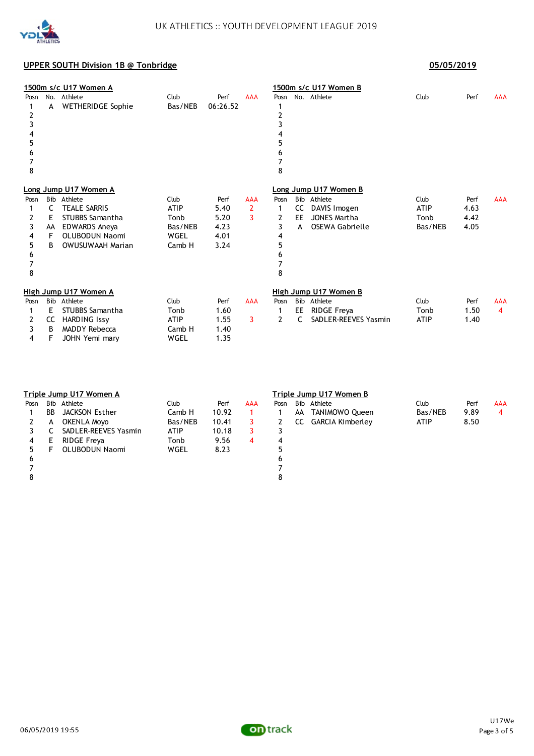

|      |     | 1500m s/c U17 Women A    |             |          |            |      |           | 1500m s/c U17 Women B  |             |      |            |
|------|-----|--------------------------|-------------|----------|------------|------|-----------|------------------------|-------------|------|------------|
| Posn | No. | Athlete                  | Club        | Perf     | <b>AAA</b> | Posn |           | No. Athlete            | Club        | Perf | <b>AAA</b> |
|      | А   | <b>WETHERIDGE Sophie</b> | Bas/NEB     | 06:26.52 |            |      |           |                        |             |      |            |
| 2    |     |                          |             |          |            |      |           |                        |             |      |            |
| 3    |     |                          |             |          |            |      |           |                        |             |      |            |
|      |     |                          |             |          |            |      |           |                        |             |      |            |
| 5    |     |                          |             |          |            | 5    |           |                        |             |      |            |
| 6    |     |                          |             |          |            |      |           |                        |             |      |            |
|      |     |                          |             |          |            |      |           |                        |             |      |            |
| 8    |     |                          |             |          |            | 8    |           |                        |             |      |            |
|      |     | Long Jump U17 Women A    |             |          |            |      |           | Long Jump U17 Women B  |             |      |            |
| Posn |     | Bib Athlete              | Club        | Perf     | <b>AAA</b> | Posn |           | Bib Athlete            | Club        | Perf | <b>AAA</b> |
|      | C   | <b>TEALE SARRIS</b>      | <b>ATIP</b> | 5.40     | 2          | 1    | CC        | DAVIS Imogen           | <b>ATIP</b> | 4.63 |            |
| 2    | E   | STUBBS Samantha          | Tonb        | 5.20     | 3          | 2    | <b>EE</b> | <b>JONES Martha</b>    | Tonb        | 4.42 |            |
| 3    | AA  | <b>EDWARDS Aneya</b>     | Bas/NEB     | 4.23     |            | 3    | A         | <b>OSEWA Gabrielle</b> | Bas/NEB     | 4.05 |            |
| 4    | F   | <b>OLUBODUN Naomi</b>    | WGEL        | 4.01     |            | 4    |           |                        |             |      |            |
| 5    | B   | <b>OWUSUWAAH Marian</b>  | Camb H      | 3.24     |            | 5    |           |                        |             |      |            |
| 6    |     |                          |             |          |            |      |           |                        |             |      |            |
|      |     |                          |             |          |            |      |           |                        |             |      |            |
| 8    |     |                          |             |          |            | 8    |           |                        |             |      |            |
|      |     | High Jump U17 Women A    |             |          |            |      |           | High Jump U17 Women B  |             |      |            |
| Posn |     | Bib Athlete              | Club        | Perf     | <b>AAA</b> | Posn |           | Bib Athlete            | Club        | Perf | <b>AAA</b> |
|      | E.  | STUBBS Samantha          | Tonb        | 1.60     |            |      | EE        | RIDGE Freya            | Tonb        | 1.50 | 4          |
| 2    | CC  | HARDING Issy             | <b>ATIP</b> | 1.55     | 3          | 2    | C         | SADLER-REEVES Yasmin   | ATIP        | 1.40 |            |
| 3    | В   | <b>MADDY Rebecca</b>     | Camb H      | 1.40     |            |      |           |                        |             |      |            |
| 4    | F   | JOHN Yemi mary           | WGEL        | 1.35     |            |      |           |                        |             |      |            |

|      |    | Triple Jump U17 Women A |             |       |     | Triple Jump U17 Women B |     |                  |         |      |                |  |  |
|------|----|-------------------------|-------------|-------|-----|-------------------------|-----|------------------|---------|------|----------------|--|--|
| Posn |    | Bib Athlete             | Club        | Perf  | AAA | Posn                    |     | Bib Athlete      | Club    | Perf | <b>AAA</b>     |  |  |
|      | BB | JACKSON Esther          | Camb H      | 10.92 |     |                         | AA  | TANIMOWO Oueen   | Bas/NEB | 9.89 | $\overline{4}$ |  |  |
|      | A  | OKENLA Movo             | Bas/NEB     | 10.41 |     |                         | CC. | GARCIA Kimberlev | ATIP    | 8.50 |                |  |  |
|      |    | SADLER-REEVES Yasmin    | <b>ATIP</b> | 10.18 |     |                         |     |                  |         |      |                |  |  |
|      | E. | RIDGE Freya             | Tonb        | 9.56  | 4   | 4                       |     |                  |         |      |                |  |  |
|      |    | OLUBODUN Naomi          | WGEL        | 8.23  |     |                         |     |                  |         |      |                |  |  |
| 6    |    |                         |             |       |     | 6                       |     |                  |         |      |                |  |  |
|      |    |                         |             |       |     |                         |     |                  |         |      |                |  |  |

8

|      |             | Triple Jump U17 Women B |
|------|-------------|-------------------------|
| Posn | Bib Athlete |                         |

|    | osh bid athlete       | ClUD    | <b>Pert</b> | <b>AAA</b> |
|----|-----------------------|---------|-------------|------------|
| 1. | AA TANIMOWO Queen     | Bas/NEB | 9.89        |            |
|    | 2 CC GARCIA Kimberley | ATIP    | 8.50        |            |
|    |                       |         |             |            |
| 4  |                       |         |             |            |
| 5  |                       |         |             |            |
| {  |                       |         |             |            |

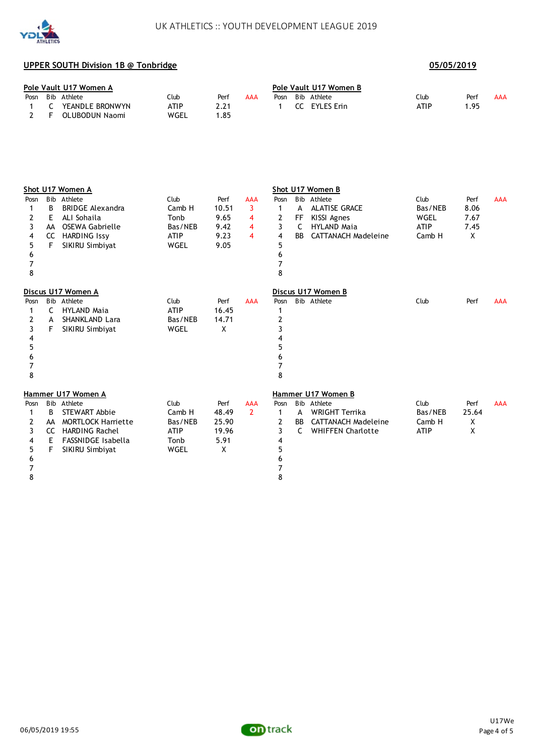

| Pole Vault U17 Women A |  |                 |      |      | Pole Vault U17 Women B |      |     |             |             |      |     |
|------------------------|--|-----------------|------|------|------------------------|------|-----|-------------|-------------|------|-----|
| Posn Bib               |  | Athlete         | Club | Perf | AAA                    | Posn |     | Bib Athlete | Club        | Perf | AAA |
|                        |  | YEANDLE BRONWYN | ATIP | 2.21 |                        |      | CC. | EYLES Erin  | <b>ATIP</b> | 1.95 |     |
|                        |  | OLUBODUN Naomi  | WGEL | .85  |                        |      |     |             |             |      |     |

|      |    | Shot U17 Women A          |             |       |                         |      |              | Shot U17 Women B           |             |       |            |
|------|----|---------------------------|-------------|-------|-------------------------|------|--------------|----------------------------|-------------|-------|------------|
| Posn |    | Bib Athlete               | Club        | Perf  | <b>AAA</b>              | Posn |              | Bib Athlete                | Club        | Perf  | <b>AAA</b> |
|      | B  | <b>BRIDGE Alexandra</b>   | Camb H      | 10.51 | 3                       | 1    | A            | ALATISE GRACE              | Bas/NEB     | 8.06  |            |
| 2    | Е  | ALI Sohaila               | Tonb        | 9.65  | 4                       | 2    | FF           | KISSI Agnes                | WGEL        | 7.67  |            |
| 3    | AA | <b>OSEWA Gabrielle</b>    | Bas/NEB     | 9.42  | 4                       | 3    | C            | <b>HYLAND Maja</b>         | <b>ATIP</b> | 7.45  |            |
| 4    | CC | HARDING Issy              | <b>ATIP</b> | 9.23  | $\overline{\mathbf{4}}$ | 4    | BB           | <b>CATTANACH Madeleine</b> | Camb H      | X     |            |
| 5    | F  | SIKIRU Simbiyat           | <b>WGEL</b> | 9.05  |                         | 5    |              |                            |             |       |            |
| 6    |    |                           |             |       |                         | 6    |              |                            |             |       |            |
| 7    |    |                           |             |       |                         | 7    |              |                            |             |       |            |
| 8    |    |                           |             |       |                         | 8    |              |                            |             |       |            |
|      |    | Discus U17 Women A        |             |       |                         |      |              | Discus U17 Women B         |             |       |            |
| Posn |    | Bib Athlete               | Club        | Perf  | <b>AAA</b>              | Posn |              | Bib Athlete                | Club        | Perf  | <b>AAA</b> |
| 1    | C  | <b>HYLAND Maja</b>        | <b>ATIP</b> | 16.45 |                         |      |              |                            |             |       |            |
| 2    | A  | <b>SHANKLAND Lara</b>     | Bas/NEB     | 14.71 |                         | 2    |              |                            |             |       |            |
| 3    | F  | SIKIRU Simbiyat           | WGEL        | X     |                         | 3    |              |                            |             |       |            |
| 4    |    |                           |             |       |                         |      |              |                            |             |       |            |
| 5    |    |                           |             |       |                         | 5    |              |                            |             |       |            |
| 6    |    |                           |             |       |                         | 6    |              |                            |             |       |            |
|      |    |                           |             |       |                         |      |              |                            |             |       |            |
| 8    |    |                           |             |       |                         | 8    |              |                            |             |       |            |
|      |    | Hammer U17 Women A        |             |       |                         |      |              | Hammer U17 Women B         |             |       |            |
| Posn |    | Bib Athlete               | Club        | Perf  | <b>AAA</b>              | Posn |              | Bib Athlete                | Club        | Perf  | <b>AAA</b> |
| 1    | B  | STEWART Abbie             | Camb H      | 48.49 | $\overline{2}$          | 1    | A            | <b>WRIGHT Terrika</b>      | Bas/NEB     | 25.64 |            |
| 2    | AA | <b>MORTLOCK Harriette</b> | Bas/NEB     | 25.90 |                         | 2    | BB           | <b>CATTANACH Madeleine</b> | Camb H      | X     |            |
| 3    | CC | <b>HARDING Rachel</b>     | <b>ATIP</b> | 19.96 |                         | 3    | $\mathsf{C}$ | <b>WHIFFEN Charlotte</b>   | <b>ATIP</b> | X     |            |
| 4    | E  | FASSNIDGE Isabella        | Tonb        | 5.91  |                         | 4    |              |                            |             |       |            |
| 5    | F  | SIKIRU Simbiyat           | WGEL        | X     |                         | 5    |              |                            |             |       |            |
| 6    |    |                           |             |       |                         |      |              |                            |             |       |            |
|      |    |                           |             |       |                         |      |              |                            |             |       |            |
| 8    |    |                           |             |       |                         | 8    |              |                            |             |       |            |

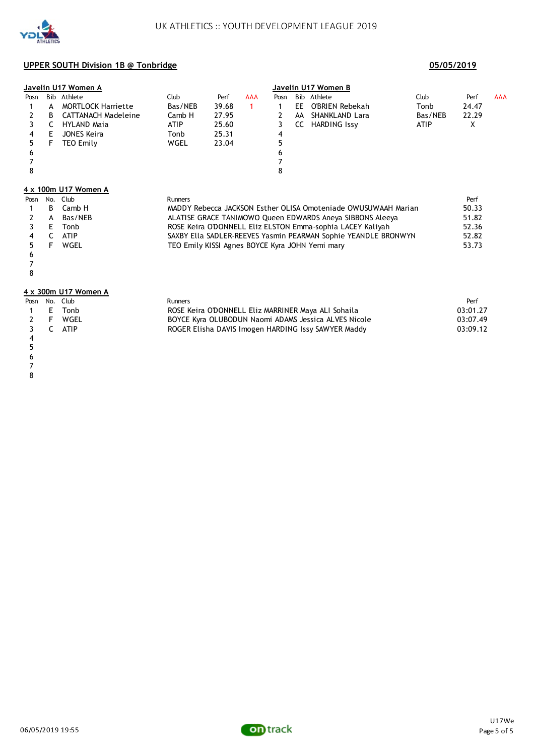

|      | Javelin U17 Women A |                            |             |       |     |      | Javelin U17 Women B |                 |             |       |            |  |  |
|------|---------------------|----------------------------|-------------|-------|-----|------|---------------------|-----------------|-------------|-------|------------|--|--|
| Posn |                     | Bib Athlete                | Club.       | Perf  | AAA | Posn |                     | Bib Athlete     | Club        | Perf  | <b>AAA</b> |  |  |
|      | А                   | <b>MORTLOCK Harriette</b>  | Bas/NEB     | 39.68 |     |      | EE                  | O'BRIEN Rebekah | Tonb        | 24.47 |            |  |  |
|      | B.                  | <b>CATTANACH Madeleine</b> | Camb H      | 27.95 |     |      | AA                  | SHANKLAND Lara  | Bas/NEB     | 22.29 |            |  |  |
|      |                     | <b>HYLAND Maja</b>         | <b>ATIP</b> | 25.60 |     |      | CC                  | HARDING Issy    | <b>ATIP</b> | X     |            |  |  |
| 4    | E.                  | JONES Keira                | Tonb        | 25.31 |     | 4    |                     |                 |             |       |            |  |  |
|      |                     | TEO Emily                  | WGEL        | 23.04 |     | 5    |                     |                 |             |       |            |  |  |
| 6    |                     |                            |             |       |     | 6    |                     |                 |             |       |            |  |  |
|      |                     |                            |             |       |     |      |                     |                 |             |       |            |  |  |
| 8    |                     |                            |             |       |     | 8    |                     |                 |             |       |            |  |  |
|      |                     |                            |             |       |     |      |                     |                 |             |       |            |  |  |

### **4 x 100m U17 Women A**

| Posn |   | No. Club    | <b>Runners</b>                                                 | Perf  |
|------|---|-------------|----------------------------------------------------------------|-------|
|      | в | Camb H      | MADDY Rebecca JACKSON Esther OLISA Omoteniade OWUSUWAAH Marian | 50.33 |
|      | A | Bas/NEB     | ALATISE GRACE TANIMOWO Queen EDWARDS Aneya SIBBONS Aleeya      | 51.82 |
|      | E | Tonb        | ROSE Keira O'DONNELL Eliz ELSTON Emma-sophia LACEY Kaliyah     | 52.36 |
| 4    |   | <b>ATIP</b> | SAXBY Ella SADLER-REEVES Yasmin PEARMAN Sophie YEANDLE BRONWYN | 52.82 |
|      |   | WGEL        | TEO Emily KISSI Agnes BOYCE Kyra JOHN Yemi mary                | 53.73 |
|      |   |             |                                                                |       |
|      |   |             |                                                                |       |

### **4 x 300m U17 Women A**

 $5<sub>5</sub>$ 

|             | Posn No. Club | Runners                                              | Perf     |
|-------------|---------------|------------------------------------------------------|----------|
| E           | Tonb          | ROSE Keira O'DONNELL Eliz MARRINER Maya ALI Sohaila  | 03:01.27 |
| $2 \quad F$ | WGEL          | BOYCE Kyra OLUBODUN Naomi ADAMS Jessica ALVES Nicole | 03:07.49 |
|             | 3 C ATIP      | ROGER Elisha DAVIS Imogen HARDING Issy SAWYER Maddy  | 03:09.12 |
|             |               |                                                      |          |

 $\epsilon$